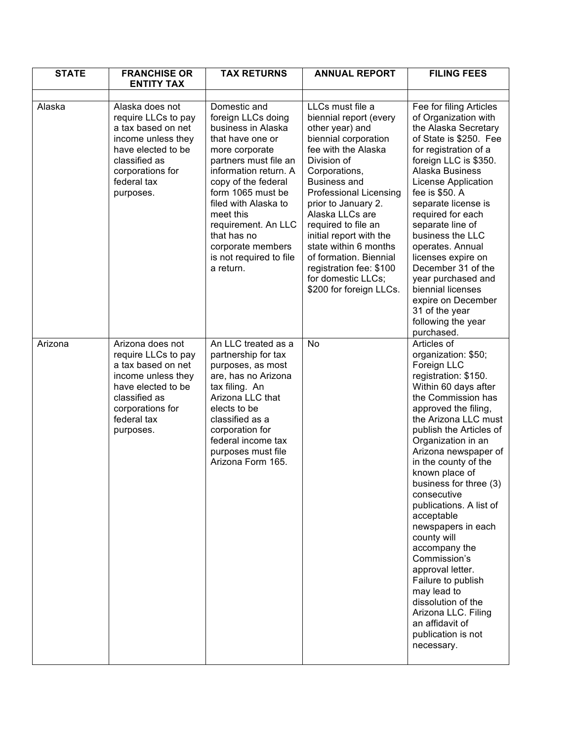| <b>STATE</b> | <b>FRANCHISE OR</b>                                                                                                                                                        | <b>TAX RETURNS</b>                                                                                                                                                                                                                                                                                                                   | <b>ANNUAL REPORT</b>                                                                                                                                                                                                                                                                                                                                                                                                            | <b>FILING FEES</b>                                                                                                                                                                                                                                                                                                                                                                                                                                                                                                                                                                                              |
|--------------|----------------------------------------------------------------------------------------------------------------------------------------------------------------------------|--------------------------------------------------------------------------------------------------------------------------------------------------------------------------------------------------------------------------------------------------------------------------------------------------------------------------------------|---------------------------------------------------------------------------------------------------------------------------------------------------------------------------------------------------------------------------------------------------------------------------------------------------------------------------------------------------------------------------------------------------------------------------------|-----------------------------------------------------------------------------------------------------------------------------------------------------------------------------------------------------------------------------------------------------------------------------------------------------------------------------------------------------------------------------------------------------------------------------------------------------------------------------------------------------------------------------------------------------------------------------------------------------------------|
|              | <b>ENTITY TAX</b>                                                                                                                                                          |                                                                                                                                                                                                                                                                                                                                      |                                                                                                                                                                                                                                                                                                                                                                                                                                 |                                                                                                                                                                                                                                                                                                                                                                                                                                                                                                                                                                                                                 |
| Alaska       | Alaska does not<br>require LLCs to pay<br>a tax based on net<br>income unless they<br>have elected to be<br>classified as<br>corporations for<br>federal tax<br>purposes.  | Domestic and<br>foreign LLCs doing<br>business in Alaska<br>that have one or<br>more corporate<br>partners must file an<br>information return. A<br>copy of the federal<br>form 1065 must be<br>filed with Alaska to<br>meet this<br>requirement. An LLC<br>that has no<br>corporate members<br>is not required to file<br>a return. | LLCs must file a<br>biennial report (every<br>other year) and<br>biennial corporation<br>fee with the Alaska<br>Division of<br>Corporations,<br><b>Business and</b><br><b>Professional Licensing</b><br>prior to January 2.<br>Alaska LLCs are<br>required to file an<br>initial report with the<br>state within 6 months<br>of formation. Biennial<br>registration fee: \$100<br>for domestic LLCs;<br>\$200 for foreign LLCs. | Fee for filing Articles<br>of Organization with<br>the Alaska Secretary<br>of State is \$250. Fee<br>for registration of a<br>foreign LLC is \$350.<br>Alaska Business<br><b>License Application</b><br>fee is \$50. A<br>separate license is<br>required for each<br>separate line of<br>business the LLC<br>operates. Annual<br>licenses expire on<br>December 31 of the<br>year purchased and<br>biennial licenses<br>expire on December<br>31 of the year<br>following the year<br>purchased.                                                                                                               |
| Arizona      | Arizona does not<br>require LLCs to pay<br>a tax based on net<br>income unless they<br>have elected to be<br>classified as<br>corporations for<br>federal tax<br>purposes. | An LLC treated as a<br>partnership for tax<br>purposes, as most<br>are, has no Arizona<br>tax filing. An<br>Arizona LLC that<br>elects to be<br>classified as a<br>corporation for<br>federal income tax<br>purposes must file<br>Arizona Form 165.                                                                                  | No                                                                                                                                                                                                                                                                                                                                                                                                                              | Articles of<br>organization: \$50;<br>Foreign LLC<br>registration: \$150.<br>Within 60 days after<br>the Commission has<br>approved the filing,<br>the Arizona LLC must<br>publish the Articles of<br>Organization in an<br>Arizona newspaper of<br>in the county of the<br>known place of<br>business for three (3)<br>consecutive<br>publications. A list of<br>acceptable<br>newspapers in each<br>county will<br>accompany the<br>Commission's<br>approval letter.<br>Failure to publish<br>may lead to<br>dissolution of the<br>Arizona LLC. Filing<br>an affidavit of<br>publication is not<br>necessary. |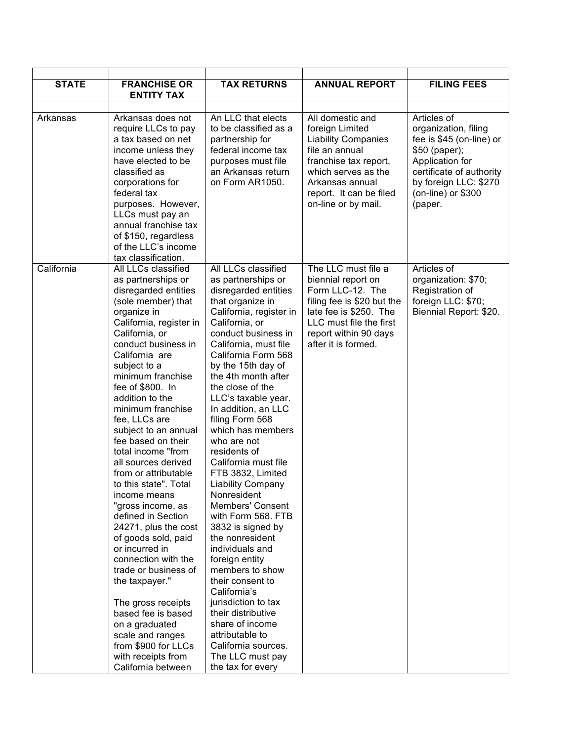| <b>STATE</b> | <b>FRANCHISE OR</b><br><b>ENTITY TAX</b>                                                                                                                                                                                                                                                                                                                                                                                                                                                                                                                                                                                                                                                                                                                                                                     | <b>TAX RETURNS</b>                                                                                                                                                                                                                                                                                                                                                                                                                                                                                                                                                                                                                                                                                                                                                                                                       | <b>ANNUAL REPORT</b>                                                                                                                                                                                     | <b>FILING FEES</b>                                                                                                                                                                        |
|--------------|--------------------------------------------------------------------------------------------------------------------------------------------------------------------------------------------------------------------------------------------------------------------------------------------------------------------------------------------------------------------------------------------------------------------------------------------------------------------------------------------------------------------------------------------------------------------------------------------------------------------------------------------------------------------------------------------------------------------------------------------------------------------------------------------------------------|--------------------------------------------------------------------------------------------------------------------------------------------------------------------------------------------------------------------------------------------------------------------------------------------------------------------------------------------------------------------------------------------------------------------------------------------------------------------------------------------------------------------------------------------------------------------------------------------------------------------------------------------------------------------------------------------------------------------------------------------------------------------------------------------------------------------------|----------------------------------------------------------------------------------------------------------------------------------------------------------------------------------------------------------|-------------------------------------------------------------------------------------------------------------------------------------------------------------------------------------------|
| Arkansas     | Arkansas does not<br>require LLCs to pay<br>a tax based on net<br>income unless they<br>have elected to be<br>classified as<br>corporations for<br>federal tax<br>purposes. However,<br>LLCs must pay an<br>annual franchise tax<br>of \$150, regardless<br>of the LLC's income<br>tax classification.                                                                                                                                                                                                                                                                                                                                                                                                                                                                                                       | An LLC that elects<br>to be classified as a<br>partnership for<br>federal income tax<br>purposes must file<br>an Arkansas return<br>on Form AR1050.                                                                                                                                                                                                                                                                                                                                                                                                                                                                                                                                                                                                                                                                      | All domestic and<br>foreign Limited<br><b>Liability Companies</b><br>file an annual<br>franchise tax report,<br>which serves as the<br>Arkansas annual<br>report. It can be filed<br>on-line or by mail. | Articles of<br>organization, filing<br>fee is \$45 (on-line) or<br>\$50 (paper);<br>Application for<br>certificate of authority<br>by foreign LLC: \$270<br>(on-line) or \$300<br>(paper. |
| California   | All LLCs classified<br>as partnerships or<br>disregarded entities<br>(sole member) that<br>organize in<br>California, register in<br>California, or<br>conduct business in<br>California are<br>subject to a<br>minimum franchise<br>fee of \$800. In<br>addition to the<br>minimum franchise<br>fee, LLCs are<br>subject to an annual<br>fee based on their<br>total income "from<br>all sources derived<br>from or attributable<br>to this state". Total<br>income means<br>"gross income, as<br>defined in Section<br>24271, plus the cost<br>of goods sold, paid<br>or incurred in<br>connection with the<br>trade or business of<br>the taxpayer."<br>The gross receipts<br>based fee is based<br>on a graduated<br>scale and ranges<br>from \$900 for LLCs<br>with receipts from<br>California between | All LLCs classified<br>as partnerships or<br>disregarded entities<br>that organize in<br>California, register in<br>California, or<br>conduct business in<br>California, must file<br>California Form 568<br>by the 15th day of<br>the 4th month after<br>the close of the<br>LLC's taxable year.<br>In addition, an LLC<br>filing Form 568<br>which has members<br>who are not<br>residents of<br>California must file<br>FTB 3832, Limited<br><b>Liability Company</b><br>Nonresident<br>Members' Consent<br>with Form 568. FTB<br>3832 is signed by<br>the nonresident<br>individuals and<br>foreign entity<br>members to show<br>their consent to<br>California's<br>jurisdiction to tax<br>their distributive<br>share of income<br>attributable to<br>California sources.<br>The LLC must pay<br>the tax for every | The LLC must file a<br>biennial report on<br>Form LLC-12. The<br>filing fee is \$20 but the<br>late fee is \$250. The<br>LLC must file the first<br>report within 90 days<br>after it is formed.         | Articles of<br>organization: \$70;<br>Registration of<br>foreign LLC: \$70;<br>Biennial Report: \$20.                                                                                     |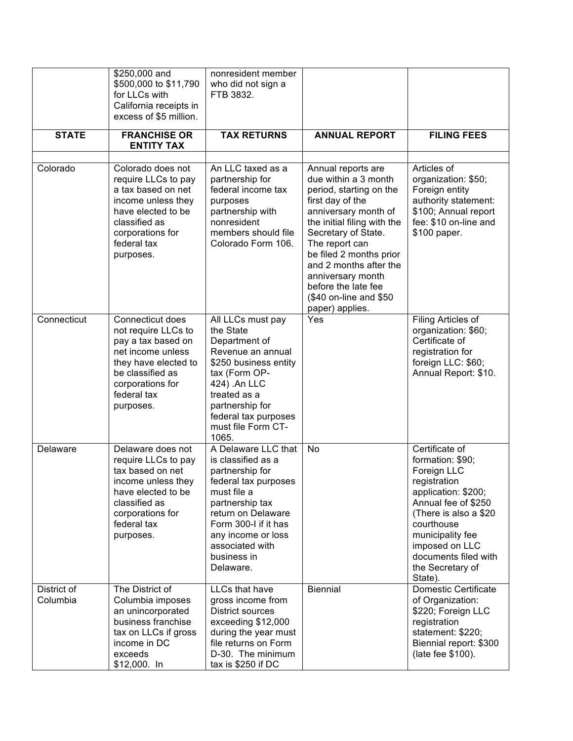|                         | \$250,000 and<br>\$500,000 to \$11,790<br>for LLCs with<br>California receipts in<br>excess of \$5 million.                                                                    | nonresident member<br>who did not sign a<br>FTB 3832.                                                                                                                                                                                     |                                                                                                                                                                                                                                                                                                                                         |                                                                                                                                                                                                                                                      |
|-------------------------|--------------------------------------------------------------------------------------------------------------------------------------------------------------------------------|-------------------------------------------------------------------------------------------------------------------------------------------------------------------------------------------------------------------------------------------|-----------------------------------------------------------------------------------------------------------------------------------------------------------------------------------------------------------------------------------------------------------------------------------------------------------------------------------------|------------------------------------------------------------------------------------------------------------------------------------------------------------------------------------------------------------------------------------------------------|
| <b>STATE</b>            | <b>FRANCHISE OR</b><br><b>ENTITY TAX</b>                                                                                                                                       | <b>TAX RETURNS</b>                                                                                                                                                                                                                        | <b>ANNUAL REPORT</b>                                                                                                                                                                                                                                                                                                                    | <b>FILING FEES</b>                                                                                                                                                                                                                                   |
| Colorado                | Colorado does not<br>require LLCs to pay<br>a tax based on net<br>income unless they<br>have elected to be<br>classified as<br>corporations for<br>federal tax<br>purposes.    | An LLC taxed as a<br>partnership for<br>federal income tax<br>purposes<br>partnership with<br>nonresident<br>members should file<br>Colorado Form 106.                                                                                    | Annual reports are<br>due within a 3 month<br>period, starting on the<br>first day of the<br>anniversary month of<br>the initial filing with the<br>Secretary of State.<br>The report can<br>be filed 2 months prior<br>and 2 months after the<br>anniversary month<br>before the late fee<br>(\$40 on-line and \$50<br>paper) applies. | Articles of<br>organization: \$50;<br>Foreign entity<br>authority statement:<br>\$100; Annual report<br>fee: \$10 on-line and<br>\$100 paper.                                                                                                        |
| Connecticut             | Connecticut does<br>not require LLCs to<br>pay a tax based on<br>net income unless<br>they have elected to<br>be classified as<br>corporations for<br>federal tax<br>purposes. | All LLCs must pay<br>the State<br>Department of<br>Revenue an annual<br>\$250 business entity<br>tax (Form OP-<br>424) .An LLC<br>treated as a<br>partnership for<br>federal tax purposes<br>must file Form CT-<br>1065.                  | Yes                                                                                                                                                                                                                                                                                                                                     | Filing Articles of<br>organization: \$60;<br>Certificate of<br>registration for<br>foreign LLC: \$60;<br>Annual Report: \$10.                                                                                                                        |
| Delaware                | Delaware does not<br>require LLCs to pay<br>tax based on net<br>income unless they<br>have elected to be<br>classified as<br>corporations for<br>federal tax<br>purposes.      | A Delaware LLC that<br>is classified as a<br>partnership for<br>federal tax purposes<br>must file a<br>partnership tax<br>return on Delaware<br>Form 300-I if it has<br>any income or loss<br>associated with<br>business in<br>Delaware. | No                                                                                                                                                                                                                                                                                                                                      | Certificate of<br>formation: \$90;<br>Foreign LLC<br>registration<br>application: \$200;<br>Annual fee of \$250<br>(There is also a \$20)<br>courthouse<br>municipality fee<br>imposed on LLC<br>documents filed with<br>the Secretary of<br>State). |
| District of<br>Columbia | The District of<br>Columbia imposes<br>an unincorporated<br>business franchise<br>tax on LLCs if gross<br>income in DC<br>exceeds<br>$$12,000.$ In                             | LLCs that have<br>gross income from<br>District sources<br>exceeding \$12,000<br>during the year must<br>file returns on Form<br>D-30. The minimum<br>tax is \$250 if DC                                                                  | <b>Biennial</b>                                                                                                                                                                                                                                                                                                                         | <b>Domestic Certificate</b><br>of Organization:<br>\$220; Foreign LLC<br>registration<br>statement: \$220;<br>Biennial report: \$300<br>(late fee \$100).                                                                                            |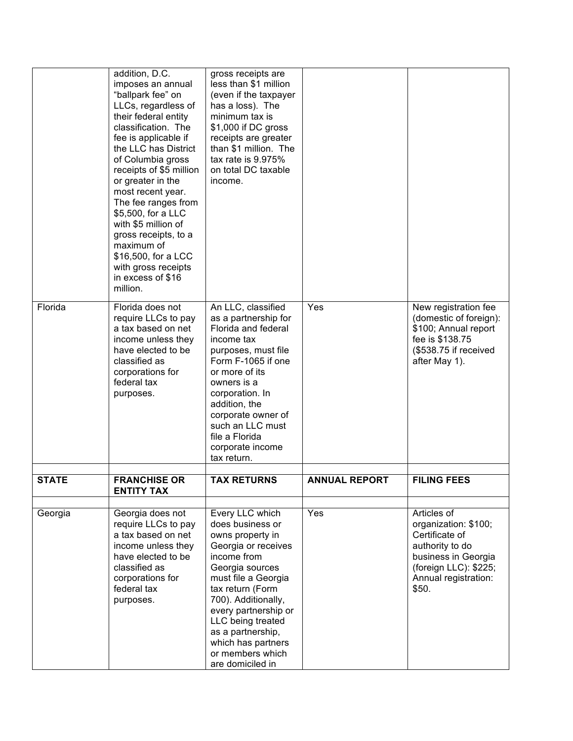|              | addition, D.C.<br>imposes an annual<br>"ballpark fee" on<br>LLCs, regardless of<br>their federal entity<br>classification. The<br>fee is applicable if<br>the LLC has District<br>of Columbia gross<br>receipts of \$5 million<br>or greater in the<br>most recent year.<br>The fee ranges from<br>\$5,500, for a LLC<br>with \$5 million of<br>gross receipts, to a<br>maximum of<br>\$16,500, for a LCC<br>with gross receipts<br>in excess of \$16<br>million. | gross receipts are<br>less than \$1 million<br>(even if the taxpayer<br>has a loss). The<br>minimum tax is<br>\$1,000 if DC gross<br>receipts are greater<br>than \$1 million. The<br>tax rate is 9.975%<br>on total DC taxable<br>income.                                                                         |                      |                                                                                                                                                           |
|--------------|-------------------------------------------------------------------------------------------------------------------------------------------------------------------------------------------------------------------------------------------------------------------------------------------------------------------------------------------------------------------------------------------------------------------------------------------------------------------|--------------------------------------------------------------------------------------------------------------------------------------------------------------------------------------------------------------------------------------------------------------------------------------------------------------------|----------------------|-----------------------------------------------------------------------------------------------------------------------------------------------------------|
| Florida      | Florida does not<br>require LLCs to pay<br>a tax based on net<br>income unless they<br>have elected to be<br>classified as<br>corporations for<br>federal tax<br>purposes.                                                                                                                                                                                                                                                                                        | An LLC, classified<br>as a partnership for<br>Florida and federal<br>income tax<br>purposes, must file<br>Form F-1065 if one<br>or more of its<br>owners is a<br>corporation. In<br>addition, the<br>corporate owner of<br>such an LLC must<br>file a Florida<br>corporate income<br>tax return.                   | Yes                  | New registration fee<br>(domestic of foreign):<br>\$100; Annual report<br>fee is \$138.75<br>(\$538.75 if received<br>after May 1).                       |
| <b>STATE</b> | <b>FRANCHISE OR</b><br><b>ENTITY TAX</b>                                                                                                                                                                                                                                                                                                                                                                                                                          | <b>TAX RETURNS</b>                                                                                                                                                                                                                                                                                                 | <b>ANNUAL REPORT</b> | <b>FILING FEES</b>                                                                                                                                        |
|              |                                                                                                                                                                                                                                                                                                                                                                                                                                                                   |                                                                                                                                                                                                                                                                                                                    |                      |                                                                                                                                                           |
| Georgia      | Georgia does not<br>require LLCs to pay<br>a tax based on net<br>income unless they<br>have elected to be<br>classified as<br>corporations for<br>federal tax<br>purposes.                                                                                                                                                                                                                                                                                        | Every LLC which<br>does business or<br>owns property in<br>Georgia or receives<br>income from<br>Georgia sources<br>must file a Georgia<br>tax return (Form<br>700). Additionally,<br>every partnership or<br>LLC being treated<br>as a partnership,<br>which has partners<br>or members which<br>are domiciled in | Yes                  | Articles of<br>organization: \$100;<br>Certificate of<br>authority to do<br>business in Georgia<br>(foreign LLC): \$225;<br>Annual registration:<br>\$50. |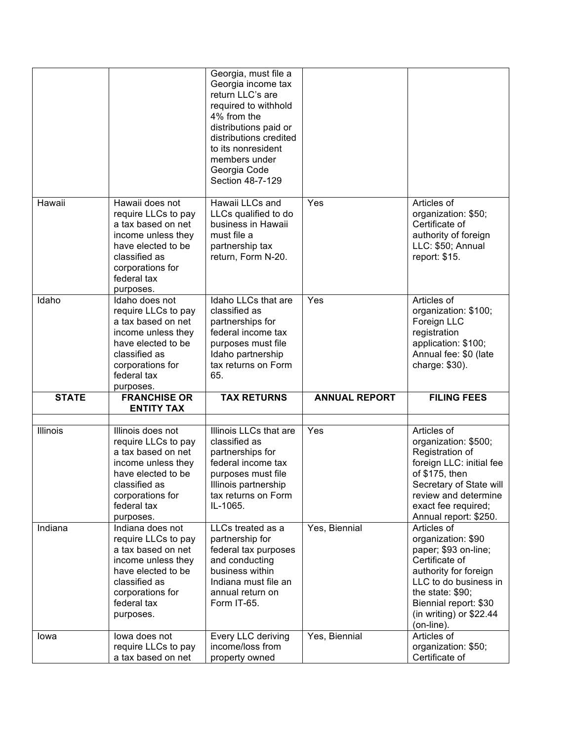|              |                                                                                                                                                                             | Georgia, must file a<br>Georgia income tax<br>return LLC's are<br>required to withhold<br>4% from the<br>distributions paid or<br>distributions credited<br>to its nonresident<br>members under<br>Georgia Code<br>Section 48-7-129 |                      |                                                                                                                                                                                                                      |
|--------------|-----------------------------------------------------------------------------------------------------------------------------------------------------------------------------|-------------------------------------------------------------------------------------------------------------------------------------------------------------------------------------------------------------------------------------|----------------------|----------------------------------------------------------------------------------------------------------------------------------------------------------------------------------------------------------------------|
| Hawaii       | Hawaii does not<br>require LLCs to pay<br>a tax based on net<br>income unless they<br>have elected to be<br>classified as<br>corporations for<br>federal tax<br>purposes.   | Hawaii LLCs and<br>LLCs qualified to do<br>business in Hawaii<br>must file a<br>partnership tax<br>return, Form N-20.                                                                                                               | Yes                  | Articles of<br>organization: \$50;<br>Certificate of<br>authority of foreign<br>LLC: \$50; Annual<br>report: \$15.                                                                                                   |
| Idaho        | Idaho does not<br>require LLCs to pay<br>a tax based on net<br>income unless they<br>have elected to be<br>classified as<br>corporations for<br>federal tax<br>purposes.    | Idaho LLCs that are<br>classified as<br>partnerships for<br>federal income tax<br>purposes must file<br>Idaho partnership<br>tax returns on Form<br>65.                                                                             | Yes                  | Articles of<br>organization: \$100;<br>Foreign LLC<br>registration<br>application: \$100;<br>Annual fee: \$0 (late<br>charge: \$30).                                                                                 |
| <b>STATE</b> | <b>FRANCHISE OR</b><br><b>ENTITY TAX</b>                                                                                                                                    | <b>TAX RETURNS</b>                                                                                                                                                                                                                  | <b>ANNUAL REPORT</b> | <b>FILING FEES</b>                                                                                                                                                                                                   |
| Illinois     | Illinois does not<br>require LLCs to pay<br>a tax based on net<br>income unless they<br>have elected to be<br>classified as<br>corporations for<br>federal tax<br>purposes. | Illinois LLCs that are<br>classified as<br>partnerships for<br>federal income tax<br>purposes must file<br>Illinois partnership<br>tax returns on Form<br>IL-1065.                                                                  | Yes                  | Articles of<br>organization: \$500;<br>Registration of<br>foreign LLC: initial fee<br>of \$175, then<br>Secretary of State will<br>review and determine<br>exact fee required;<br>Annual report: \$250.              |
| Indiana      | Indiana does not<br>require LLCs to pay<br>a tax based on net<br>income unless they<br>have elected to be<br>classified as<br>corporations for<br>federal tax<br>purposes.  | LLCs treated as a<br>partnership for<br>federal tax purposes<br>and conducting<br>business within<br>Indiana must file an<br>annual return on<br>Form IT-65.                                                                        | Yes, Biennial        | Articles of<br>organization: \$90<br>paper; \$93 on-line;<br>Certificate of<br>authority for foreign<br>LLC to do business in<br>the state: \$90;<br>Biennial report: \$30<br>(in writing) or $$22.44$<br>(on-line). |
| lowa         | lowa does not<br>require LLCs to pay<br>a tax based on net                                                                                                                  | Every LLC deriving<br>income/loss from<br>property owned                                                                                                                                                                            | Yes, Biennial        | Articles of<br>organization: \$50;<br>Certificate of                                                                                                                                                                 |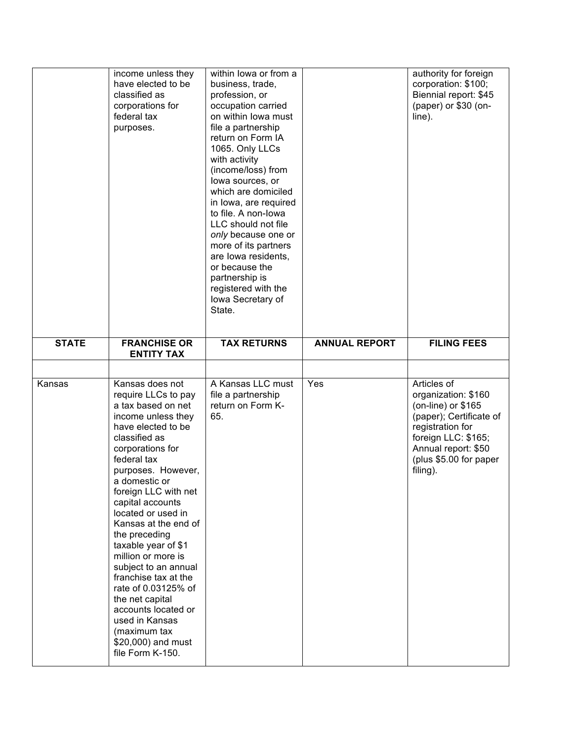|              | income unless they<br>have elected to be<br>classified as<br>corporations for<br>federal tax<br>purposes.                                                                                                                                                                                                                                                                                                                                                                                                                                                | within lowa or from a<br>business, trade,<br>profession, or<br>occupation carried<br>on within lowa must<br>file a partnership<br>return on Form IA<br>1065. Only LLCs<br>with activity<br>(income/loss) from<br>lowa sources, or<br>which are domiciled<br>in Iowa, are required<br>to file. A non-lowa<br>LLC should not file<br>only because one or<br>more of its partners<br>are lowa residents,<br>or because the<br>partnership is<br>registered with the<br>lowa Secretary of<br>State. |                      | authority for foreign<br>corporation: \$100;<br>Biennial report: \$45<br>(paper) or \$30 (on-<br>line).                                                                                      |
|--------------|----------------------------------------------------------------------------------------------------------------------------------------------------------------------------------------------------------------------------------------------------------------------------------------------------------------------------------------------------------------------------------------------------------------------------------------------------------------------------------------------------------------------------------------------------------|-------------------------------------------------------------------------------------------------------------------------------------------------------------------------------------------------------------------------------------------------------------------------------------------------------------------------------------------------------------------------------------------------------------------------------------------------------------------------------------------------|----------------------|----------------------------------------------------------------------------------------------------------------------------------------------------------------------------------------------|
| <b>STATE</b> | <b>FRANCHISE OR</b><br><b>ENTITY TAX</b>                                                                                                                                                                                                                                                                                                                                                                                                                                                                                                                 | <b>TAX RETURNS</b>                                                                                                                                                                                                                                                                                                                                                                                                                                                                              | <b>ANNUAL REPORT</b> | <b>FILING FEES</b>                                                                                                                                                                           |
|              |                                                                                                                                                                                                                                                                                                                                                                                                                                                                                                                                                          |                                                                                                                                                                                                                                                                                                                                                                                                                                                                                                 |                      |                                                                                                                                                                                              |
| Kansas       | Kansas does not<br>require LLCs to pay<br>a tax based on net<br>income unless they<br>have elected to be<br>classified as<br>corporations for<br>federal tax<br>purposes. However,<br>a domestic or<br>foreign LLC with net<br>capital accounts<br>located or used in<br>Kansas at the end of<br>the preceding<br>taxable year of \$1<br>million or more is<br>subject to an annual<br>franchise tax at the<br>rate of 0.03125% of<br>the net capital<br>accounts located or<br>used in Kansas<br>(maximum tax<br>\$20,000) and must<br>file Form K-150. | A Kansas LLC must<br>file a partnership<br>return on Form K-<br>65.                                                                                                                                                                                                                                                                                                                                                                                                                             | Yes                  | Articles of<br>organization: \$160<br>(on-line) or $$165$<br>(paper); Certificate of<br>registration for<br>foreign LLC: \$165;<br>Annual report: \$50<br>(plus \$5.00 for paper<br>filing). |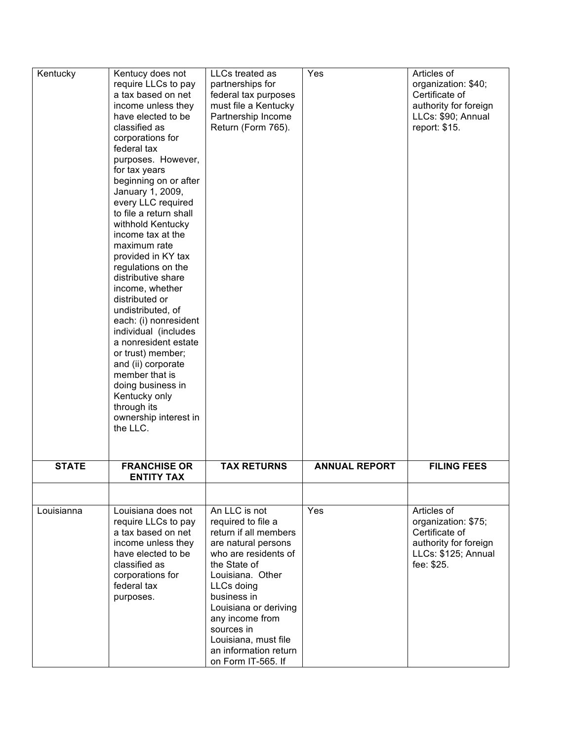| Kentucky     | Kentucy does not<br>require LLCs to pay<br>a tax based on net<br>income unless they<br>have elected to be<br>classified as<br>corporations for<br>federal tax<br>purposes. However,<br>for tax years<br>beginning on or after<br>January 1, 2009,<br>every LLC required<br>to file a return shall<br>withhold Kentucky<br>income tax at the<br>maximum rate<br>provided in KY tax<br>regulations on the<br>distributive share<br>income, whether<br>distributed or<br>undistributed, of<br>each: (i) nonresident<br>individual (includes<br>a nonresident estate<br>or trust) member;<br>and (ii) corporate<br>member that is<br>doing business in<br>Kentucky only<br>through its<br>ownership interest in<br>the LLC. | LLCs treated as<br>partnerships for<br>federal tax purposes<br>must file a Kentucky<br>Partnership Income<br>Return (Form 765).                                                                                                                                                                               | Yes                  | Articles of<br>organization: \$40;<br>Certificate of<br>authority for foreign<br>LLCs: \$90; Annual<br>report: \$15. |
|--------------|-------------------------------------------------------------------------------------------------------------------------------------------------------------------------------------------------------------------------------------------------------------------------------------------------------------------------------------------------------------------------------------------------------------------------------------------------------------------------------------------------------------------------------------------------------------------------------------------------------------------------------------------------------------------------------------------------------------------------|---------------------------------------------------------------------------------------------------------------------------------------------------------------------------------------------------------------------------------------------------------------------------------------------------------------|----------------------|----------------------------------------------------------------------------------------------------------------------|
| <b>STATE</b> | <b>FRANCHISE OR</b><br><b>ENTITY TAX</b>                                                                                                                                                                                                                                                                                                                                                                                                                                                                                                                                                                                                                                                                                | <b>TAX RETURNS</b>                                                                                                                                                                                                                                                                                            | <b>ANNUAL REPORT</b> | <b>FILING FEES</b>                                                                                                   |
| Louisianna   | Louisiana does not<br>require LLCs to pay<br>a tax based on net<br>income unless they<br>have elected to be<br>classified as<br>corporations for<br>federal tax<br>purposes.                                                                                                                                                                                                                                                                                                                                                                                                                                                                                                                                            | An LLC is not<br>required to file a<br>return if all members<br>are natural persons<br>who are residents of<br>the State of<br>Louisiana. Other<br>LLCs doing<br>business in<br>Louisiana or deriving<br>any income from<br>sources in<br>Louisiana, must file<br>an information return<br>on Form IT-565. If | Yes                  | Articles of<br>organization: \$75;<br>Certificate of<br>authority for foreign<br>LLCs: \$125; Annual<br>fee: \$25.   |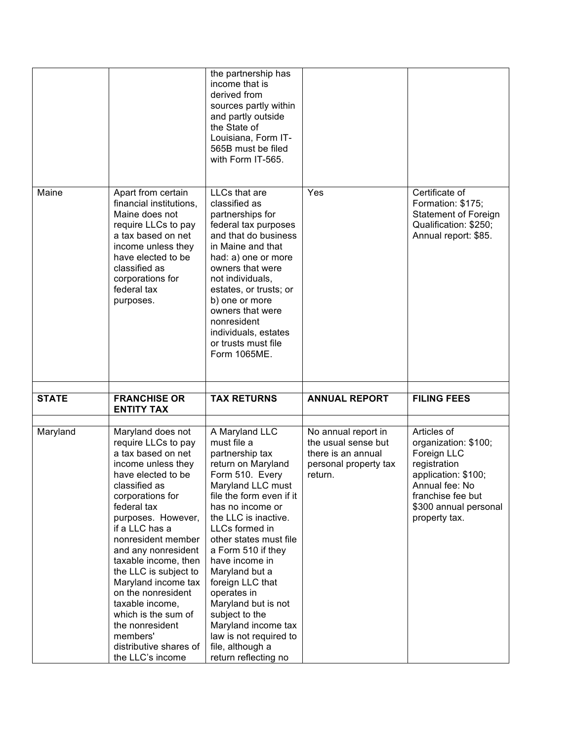|              |                                                                                                                                                                                                                                                                                                                                                                                                                                                                          | the partnership has<br>income that is<br>derived from<br>sources partly within<br>and partly outside<br>the State of<br>Louisiana, Form IT-<br>565B must be filed<br>with Form IT-565.                                                                                                                                                                                                                                                                                |                                                                                                      |                                                                                                                                                                            |
|--------------|--------------------------------------------------------------------------------------------------------------------------------------------------------------------------------------------------------------------------------------------------------------------------------------------------------------------------------------------------------------------------------------------------------------------------------------------------------------------------|-----------------------------------------------------------------------------------------------------------------------------------------------------------------------------------------------------------------------------------------------------------------------------------------------------------------------------------------------------------------------------------------------------------------------------------------------------------------------|------------------------------------------------------------------------------------------------------|----------------------------------------------------------------------------------------------------------------------------------------------------------------------------|
| Maine        | Apart from certain<br>financial institutions,<br>Maine does not<br>require LLCs to pay<br>a tax based on net<br>income unless they<br>have elected to be<br>classified as<br>corporations for<br>federal tax<br>purposes.                                                                                                                                                                                                                                                | LLCs that are<br>classified as<br>partnerships for<br>federal tax purposes<br>and that do business<br>in Maine and that<br>had: a) one or more<br>owners that were<br>not individuals,<br>estates, or trusts; or<br>b) one or more<br>owners that were<br>nonresident<br>individuals, estates<br>or trusts must file<br>Form 1065ME.                                                                                                                                  | Yes                                                                                                  | Certificate of<br>Formation: \$175;<br><b>Statement of Foreign</b><br>Qualification: \$250;<br>Annual report: \$85.                                                        |
| <b>STATE</b> | <b>FRANCHISE OR</b><br><b>ENTITY TAX</b>                                                                                                                                                                                                                                                                                                                                                                                                                                 | <b>TAX RETURNS</b>                                                                                                                                                                                                                                                                                                                                                                                                                                                    | <b>ANNUAL REPORT</b>                                                                                 | <b>FILING FEES</b>                                                                                                                                                         |
| Maryland     | Maryland does not<br>require LLCs to pay<br>a tax based on net<br>income unless they<br>have elected to be<br>classified as<br>corporations for<br>federal tax<br>purposes. However,<br>if a LLC has a<br>nonresident member<br>and any nonresident<br>taxable income, then<br>the LLC is subject to<br>Maryland income tax<br>on the nonresident<br>taxable income,<br>which is the sum of<br>the nonresident<br>members'<br>distributive shares of<br>the LLC's income | A Maryland LLC<br>must file a<br>partnership tax<br>return on Maryland<br>Form 510. Every<br>Maryland LLC must<br>file the form even if it<br>has no income or<br>the LLC is inactive.<br>LLCs formed in<br>other states must file<br>a Form 510 if they<br>have income in<br>Maryland but a<br>foreign LLC that<br>operates in<br>Maryland but is not<br>subject to the<br>Maryland income tax<br>law is not required to<br>file, although a<br>return reflecting no | No annual report in<br>the usual sense but<br>there is an annual<br>personal property tax<br>return. | Articles of<br>organization: \$100;<br>Foreign LLC<br>registration<br>application: \$100;<br>Annual fee: No<br>franchise fee but<br>\$300 annual personal<br>property tax. |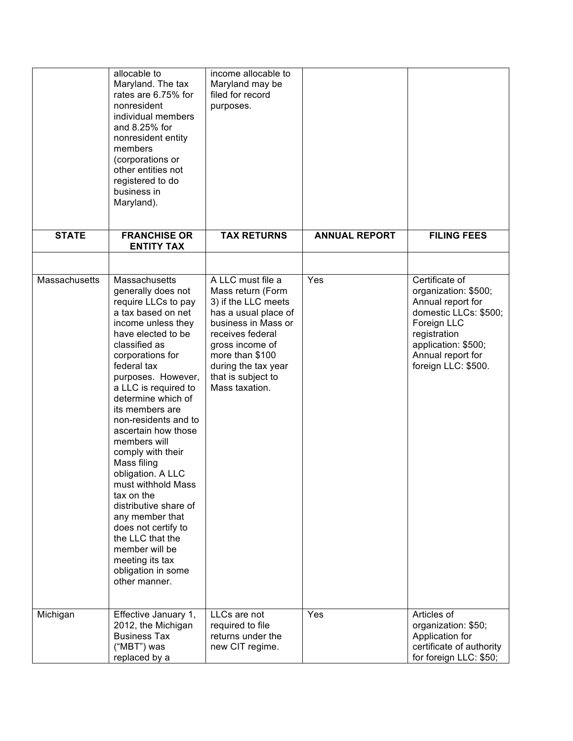|                      | allocable to<br>Maryland. The tax<br>rates are 6.75% for<br>nonresident<br>individual members<br>and 8.25% for<br>nonresident entity<br>members<br>(corporations or<br>other entities not<br>registered to do<br>business in<br>Maryland).                                                                                                                                                                                                                                                                                                                                                             | income allocable to<br>Maryland may be<br>filed for record<br>purposes.                                                                                                                                                               |                      |                                                                                                                                                                                        |
|----------------------|--------------------------------------------------------------------------------------------------------------------------------------------------------------------------------------------------------------------------------------------------------------------------------------------------------------------------------------------------------------------------------------------------------------------------------------------------------------------------------------------------------------------------------------------------------------------------------------------------------|---------------------------------------------------------------------------------------------------------------------------------------------------------------------------------------------------------------------------------------|----------------------|----------------------------------------------------------------------------------------------------------------------------------------------------------------------------------------|
| <b>STATE</b>         | <b>FRANCHISE OR</b><br><b>ENTITY TAX</b>                                                                                                                                                                                                                                                                                                                                                                                                                                                                                                                                                               | <b>TAX RETURNS</b>                                                                                                                                                                                                                    | <b>ANNUAL REPORT</b> | <b>FILING FEES</b>                                                                                                                                                                     |
|                      |                                                                                                                                                                                                                                                                                                                                                                                                                                                                                                                                                                                                        |                                                                                                                                                                                                                                       |                      |                                                                                                                                                                                        |
| <b>Massachusetts</b> | Massachusetts<br>generally does not<br>require LLCs to pay<br>a tax based on net<br>income unless they<br>have elected to be<br>classified as<br>corporations for<br>federal tax<br>purposes. However,<br>a LLC is required to<br>determine which of<br>its members are<br>non-residents and to<br>ascertain how those<br>members will<br>comply with their<br>Mass filing<br>obligation. A LLC<br>must withhold Mass<br>tax on the<br>distributive share of<br>any member that<br>does not certify to<br>the LLC that the<br>member will be<br>meeting its tax<br>obligation in some<br>other manner. | A LLC must file a<br>Mass return (Form<br>3) if the LLC meets<br>has a usual place of<br>business in Mass or<br>receives federal<br>gross income of<br>more than \$100<br>during the tax year<br>that is subject to<br>Mass taxation. | Yes                  | Certificate of<br>organization: \$500;<br>Annual report for<br>domestic LLCs: \$500;<br>Foreign LLC<br>registration<br>application: \$500;<br>Annual report for<br>foreign LLC: \$500. |
| Michigan             | Effective January 1,<br>2012, the Michigan<br><b>Business Tax</b><br>("MBT") was<br>replaced by a                                                                                                                                                                                                                                                                                                                                                                                                                                                                                                      | LLCs are not<br>required to file<br>returns under the<br>new CIT regime.                                                                                                                                                              | Yes                  | Articles of<br>organization: \$50;<br>Application for<br>certificate of authority<br>for foreign LLC: \$50;                                                                            |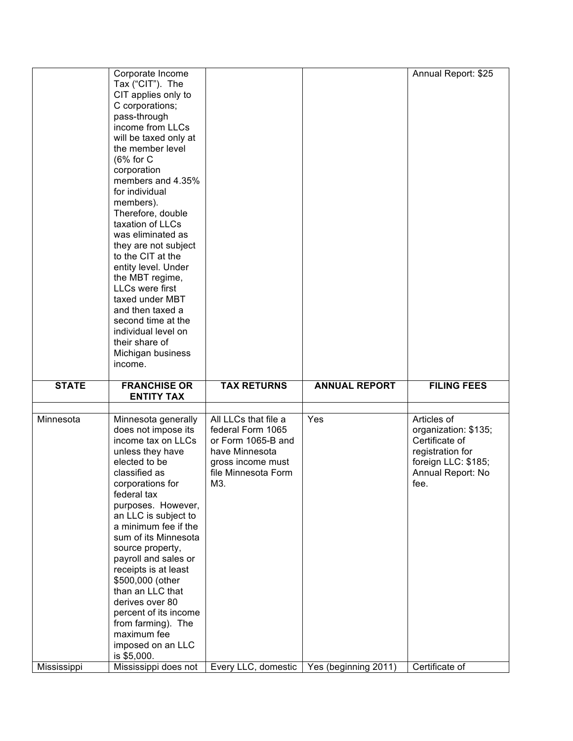|                          | Corporate Income<br>Tax ("CIT"). The<br>CIT applies only to<br>C corporations;<br>pass-through<br>income from LLCs<br>will be taxed only at<br>the member level<br>(6% for C<br>corporation<br>members and 4.35%<br>for individual<br>members).<br>Therefore, double<br>taxation of LLCs<br>was eliminated as<br>they are not subject<br>to the CIT at the<br>entity level. Under<br>the MBT regime,<br><b>LLCs were first</b><br>taxed under MBT<br>and then taxed a<br>second time at the<br>individual level on<br>their share of<br>Michigan business<br>income. |                                                                                                                                                             |                             | Annual Report: \$25                                                                                                                             |
|--------------------------|----------------------------------------------------------------------------------------------------------------------------------------------------------------------------------------------------------------------------------------------------------------------------------------------------------------------------------------------------------------------------------------------------------------------------------------------------------------------------------------------------------------------------------------------------------------------|-------------------------------------------------------------------------------------------------------------------------------------------------------------|-----------------------------|-------------------------------------------------------------------------------------------------------------------------------------------------|
| <b>STATE</b>             | <b>FRANCHISE OR</b><br><b>ENTITY TAX</b>                                                                                                                                                                                                                                                                                                                                                                                                                                                                                                                             | <b>TAX RETURNS</b>                                                                                                                                          | <b>ANNUAL REPORT</b>        | <b>FILING FEES</b>                                                                                                                              |
|                          |                                                                                                                                                                                                                                                                                                                                                                                                                                                                                                                                                                      |                                                                                                                                                             |                             |                                                                                                                                                 |
| Minnesota<br>Mississippi | Minnesota generally<br>does not impose its<br>income tax on LLCs<br>unless they have<br>elected to be<br>classified as<br>corporations for<br>federal tax<br>purposes. However,<br>an LLC is subject to<br>a minimum fee if the<br>sum of its Minnesota<br>source property,<br>payroll and sales or<br>receipts is at least<br>\$500,000 (other<br>than an LLC that<br>derives over 80<br>percent of its income<br>from farming). The<br>maximum fee<br>imposed on an LLC<br>is \$5,000.<br>Mississippi does not                                                     | All LLCs that file a<br>federal Form 1065<br>or Form 1065-B and<br>have Minnesota<br>gross income must<br>file Minnesota Form<br>M3.<br>Every LLC, domestic | Yes<br>Yes (beginning 2011) | Articles of<br>organization: \$135;<br>Certificate of<br>registration for<br>foreign LLC: \$185;<br>Annual Report: No<br>fee.<br>Certificate of |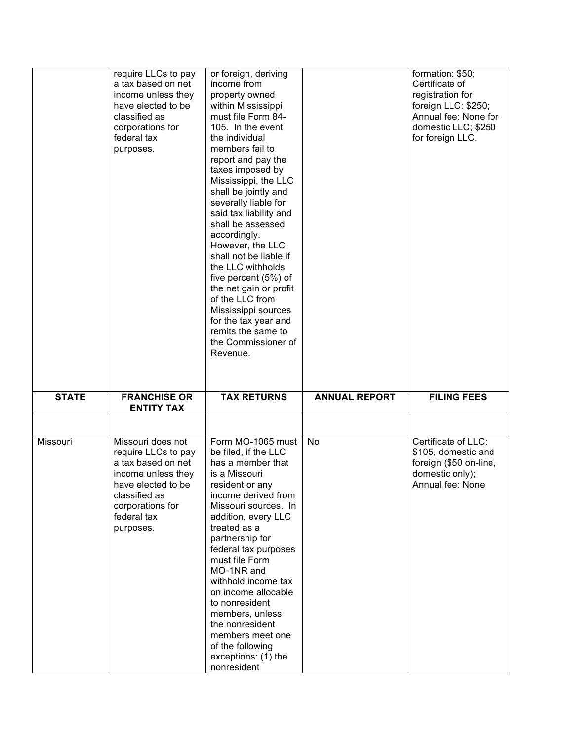|              | require LLCs to pay<br>a tax based on net<br>income unless they<br>have elected to be<br>classified as<br>corporations for<br>federal tax<br>purposes. | or foreign, deriving<br>income from<br>property owned<br>within Mississippi<br>must file Form 84-<br>105. In the event<br>the individual<br>members fail to<br>report and pay the<br>taxes imposed by<br>Mississippi, the LLC<br>shall be jointly and<br>severally liable for<br>said tax liability and<br>shall be assessed<br>accordingly.<br>However, the LLC<br>shall not be liable if<br>the LLC withholds<br>five percent (5%) of<br>the net gain or profit<br>of the LLC from<br>Mississippi sources<br>for the tax year and<br>remits the same to<br>the Commissioner of<br>Revenue. |                      | formation: \$50;<br>Certificate of<br>registration for<br>foreign LLC: \$250;<br>Annual fee: None for<br>domestic LLC; \$250<br>for foreign LLC. |
|--------------|--------------------------------------------------------------------------------------------------------------------------------------------------------|----------------------------------------------------------------------------------------------------------------------------------------------------------------------------------------------------------------------------------------------------------------------------------------------------------------------------------------------------------------------------------------------------------------------------------------------------------------------------------------------------------------------------------------------------------------------------------------------|----------------------|--------------------------------------------------------------------------------------------------------------------------------------------------|
| <b>STATE</b> | <b>FRANCHISE OR</b><br><b>ENTITY TAX</b>                                                                                                               | <b>TAX RETURNS</b>                                                                                                                                                                                                                                                                                                                                                                                                                                                                                                                                                                           | <b>ANNUAL REPORT</b> | <b>FILING FEES</b>                                                                                                                               |
|              |                                                                                                                                                        |                                                                                                                                                                                                                                                                                                                                                                                                                                                                                                                                                                                              |                      |                                                                                                                                                  |
| Missouri     | Missouri does not                                                                                                                                      | Form MO-1065 must                                                                                                                                                                                                                                                                                                                                                                                                                                                                                                                                                                            | No                   | Certificate of LLC:                                                                                                                              |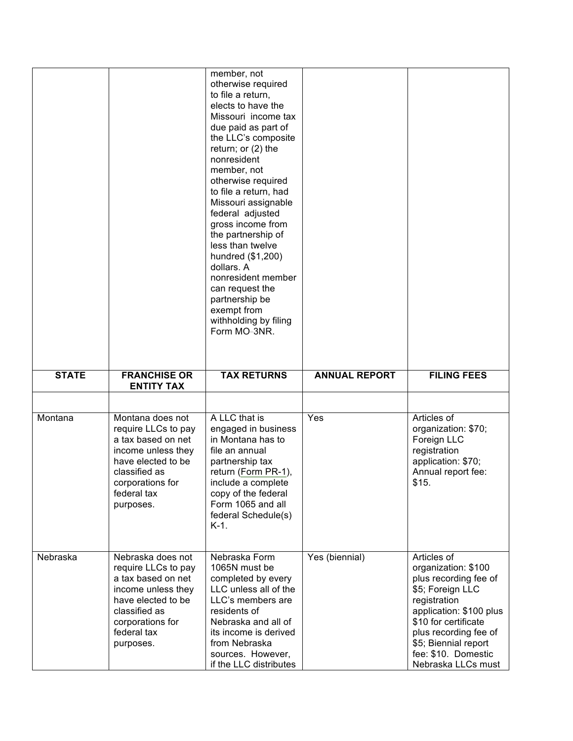|              |                                                                                                                                                                             | member, not<br>otherwise required<br>to file a return.<br>elects to have the<br>Missouri income tax<br>due paid as part of<br>the LLC's composite<br>return; or $(2)$ the<br>nonresident<br>member, not<br>otherwise required<br>to file a return, had<br>Missouri assignable<br>federal adjusted<br>gross income from<br>the partnership of<br>less than twelve<br>hundred (\$1,200)<br>dollars. A<br>nonresident member<br>can request the<br>partnership be<br>exempt from<br>withholding by filing<br>Form MO=3NR. |                      |                                                                                                                                                                                                                                                  |
|--------------|-----------------------------------------------------------------------------------------------------------------------------------------------------------------------------|------------------------------------------------------------------------------------------------------------------------------------------------------------------------------------------------------------------------------------------------------------------------------------------------------------------------------------------------------------------------------------------------------------------------------------------------------------------------------------------------------------------------|----------------------|--------------------------------------------------------------------------------------------------------------------------------------------------------------------------------------------------------------------------------------------------|
| <b>STATE</b> | <b>FRANCHISE OR</b><br><b>ENTITY TAX</b>                                                                                                                                    | <b>TAX RETURNS</b>                                                                                                                                                                                                                                                                                                                                                                                                                                                                                                     | <b>ANNUAL REPORT</b> | <b>FILING FEES</b>                                                                                                                                                                                                                               |
|              |                                                                                                                                                                             |                                                                                                                                                                                                                                                                                                                                                                                                                                                                                                                        |                      |                                                                                                                                                                                                                                                  |
| Montana      | Montana does not<br>require LLCs to pay<br>a tax based on net<br>income unless they<br>have elected to be<br>classified as<br>corporations for<br>federal tax<br>purposes.  | A LLC that is<br>engaged in business<br>in Montana has to<br>file an annual<br>partnership tax<br>return (Form PR-1),<br>include a complete<br>copy of the federal<br>Form 1065 and all<br>federal Schedule(s)<br>$K-1$ .                                                                                                                                                                                                                                                                                              | Yes                  | Articles of<br>organization: \$70;<br>Foreign LLC<br>registration<br>application: \$70;<br>Annual report fee:<br>\$15.                                                                                                                           |
| Nebraska     | Nebraska does not<br>require LLCs to pay<br>a tax based on net<br>income unless they<br>have elected to be<br>classified as<br>corporations for<br>federal tax<br>purposes. | Nebraska Form<br>1065N must be<br>completed by every<br>LLC unless all of the<br>LLC's members are<br>residents of<br>Nebraska and all of<br>its income is derived<br>from Nebraska<br>sources. However,<br>if the LLC distributes                                                                                                                                                                                                                                                                                     | Yes (biennial)       | Articles of<br>organization: \$100<br>plus recording fee of<br>\$5; Foreign LLC<br>registration<br>application: \$100 plus<br>\$10 for certificate<br>plus recording fee of<br>\$5; Biennial report<br>fee: \$10. Domestic<br>Nebraska LLCs must |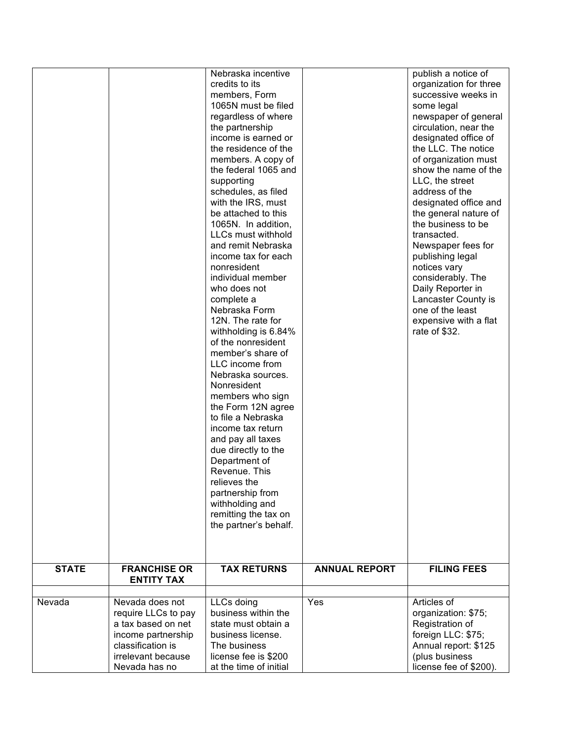|              |                                                                                                                                                | Nebraska incentive<br>credits to its<br>members, Form<br>1065N must be filed<br>regardless of where<br>the partnership<br>income is earned or<br>the residence of the<br>members. A copy of<br>the federal 1065 and<br>supporting<br>schedules, as filed<br>with the IRS, must<br>be attached to this<br>1065N. In addition,<br>LLCs must withhold<br>and remit Nebraska<br>income tax for each<br>nonresident<br>individual member<br>who does not<br>complete a<br>Nebraska Form<br>12N. The rate for<br>withholding is 6.84%<br>of the nonresident<br>member's share of<br>LLC income from<br>Nebraska sources.<br>Nonresident<br>members who sign<br>the Form 12N agree<br>to file a Nebraska<br>income tax return<br>and pay all taxes<br>due directly to the<br>Department of<br>Revenue. This<br>relieves the<br>partnership from<br>withholding and<br>remitting the tax on<br>the partner's behalf. |                      | publish a notice of<br>organization for three<br>successive weeks in<br>some legal<br>newspaper of general<br>circulation, near the<br>designated office of<br>the LLC. The notice<br>of organization must<br>show the name of the<br>LLC, the street<br>address of the<br>designated office and<br>the general nature of<br>the business to be<br>transacted.<br>Newspaper fees for<br>publishing legal<br>notices vary<br>considerably. The<br>Daily Reporter in<br>Lancaster County is<br>one of the least<br>expensive with a flat<br>rate of \$32. |
|--------------|------------------------------------------------------------------------------------------------------------------------------------------------|--------------------------------------------------------------------------------------------------------------------------------------------------------------------------------------------------------------------------------------------------------------------------------------------------------------------------------------------------------------------------------------------------------------------------------------------------------------------------------------------------------------------------------------------------------------------------------------------------------------------------------------------------------------------------------------------------------------------------------------------------------------------------------------------------------------------------------------------------------------------------------------------------------------|----------------------|---------------------------------------------------------------------------------------------------------------------------------------------------------------------------------------------------------------------------------------------------------------------------------------------------------------------------------------------------------------------------------------------------------------------------------------------------------------------------------------------------------------------------------------------------------|
| <b>STATE</b> | <b>FRANCHISE OR</b><br><b>ENTITY TAX</b>                                                                                                       | <b>TAX RETURNS</b>                                                                                                                                                                                                                                                                                                                                                                                                                                                                                                                                                                                                                                                                                                                                                                                                                                                                                           | <b>ANNUAL REPORT</b> | <b>FILING FEES</b>                                                                                                                                                                                                                                                                                                                                                                                                                                                                                                                                      |
| Nevada       | Nevada does not<br>require LLCs to pay<br>a tax based on net<br>income partnership<br>classification is<br>irrelevant because<br>Nevada has no | LLCs doing<br>business within the<br>state must obtain a<br>business license.<br>The business<br>license fee is \$200<br>at the time of initial                                                                                                                                                                                                                                                                                                                                                                                                                                                                                                                                                                                                                                                                                                                                                              | Yes                  | Articles of<br>organization: \$75;<br>Registration of<br>foreign LLC: \$75;<br>Annual report: \$125<br>(plus business<br>license fee of \$200).                                                                                                                                                                                                                                                                                                                                                                                                         |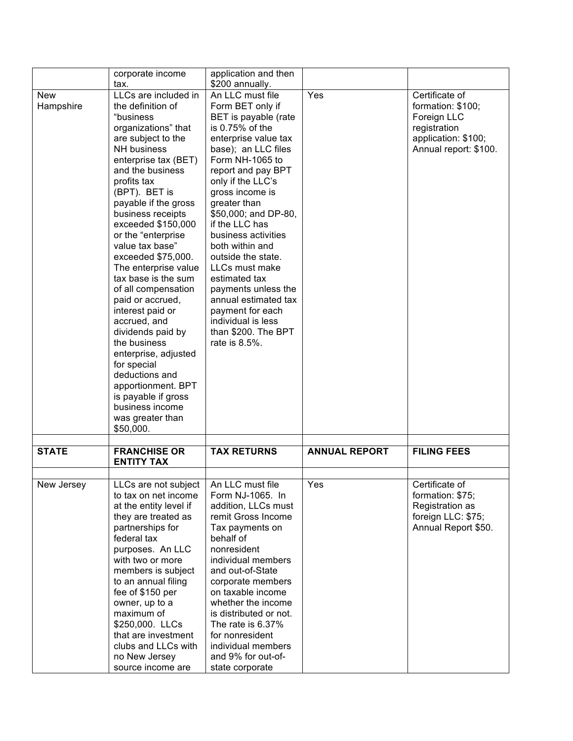|                         | corporate income                                                                                                                                                                                                                                                                                                                                                                                                                                                                                                                                                                                                                                                     | application and then                                                                                                                                                                                                                                                                                                                                                                                                                                                                                              |                      |                                                                                                                    |
|-------------------------|----------------------------------------------------------------------------------------------------------------------------------------------------------------------------------------------------------------------------------------------------------------------------------------------------------------------------------------------------------------------------------------------------------------------------------------------------------------------------------------------------------------------------------------------------------------------------------------------------------------------------------------------------------------------|-------------------------------------------------------------------------------------------------------------------------------------------------------------------------------------------------------------------------------------------------------------------------------------------------------------------------------------------------------------------------------------------------------------------------------------------------------------------------------------------------------------------|----------------------|--------------------------------------------------------------------------------------------------------------------|
|                         | tax.                                                                                                                                                                                                                                                                                                                                                                                                                                                                                                                                                                                                                                                                 | \$200 annually.                                                                                                                                                                                                                                                                                                                                                                                                                                                                                                   |                      |                                                                                                                    |
| <b>New</b><br>Hampshire | LLCs are included in<br>the definition of<br>"business<br>organizations" that<br>are subject to the<br><b>NH</b> business<br>enterprise tax (BET)<br>and the business<br>profits tax<br>(BPT). BET is<br>payable if the gross<br>business receipts<br>exceeded \$150,000<br>or the "enterprise<br>value tax base"<br>exceeded \$75,000.<br>The enterprise value<br>tax base is the sum<br>of all compensation<br>paid or accrued,<br>interest paid or<br>accrued, and<br>dividends paid by<br>the business<br>enterprise, adjusted<br>for special<br>deductions and<br>apportionment. BPT<br>is payable if gross<br>business income<br>was greater than<br>\$50,000. | An LLC must file<br>Form BET only if<br>BET is payable (rate<br>is 0.75% of the<br>enterprise value tax<br>base); an LLC files<br>Form NH-1065 to<br>report and pay BPT<br>only if the LLC's<br>gross income is<br>greater than<br>\$50,000; and DP-80,<br>if the LLC has<br>business activities<br>both within and<br>outside the state.<br>LLCs must make<br>estimated tax<br>payments unless the<br>annual estimated tax<br>payment for each<br>individual is less<br>than \$200. The BPT<br>rate is $8.5\%$ . | Yes                  | Certificate of<br>formation: \$100;<br>Foreign LLC<br>registration<br>application: \$100;<br>Annual report: \$100. |
| <b>STATE</b>            | <b>FRANCHISE OR</b><br><b>ENTITY TAX</b>                                                                                                                                                                                                                                                                                                                                                                                                                                                                                                                                                                                                                             | <b>TAX RETURNS</b>                                                                                                                                                                                                                                                                                                                                                                                                                                                                                                | <b>ANNUAL REPORT</b> | <b>FILING FEES</b>                                                                                                 |
|                         |                                                                                                                                                                                                                                                                                                                                                                                                                                                                                                                                                                                                                                                                      |                                                                                                                                                                                                                                                                                                                                                                                                                                                                                                                   |                      |                                                                                                                    |
| New Jersey              | LLCs are not subject   An LLC must file<br>to tax on net income<br>at the entity level if<br>they are treated as<br>partnerships for<br>federal tax<br>purposes. An LLC<br>with two or more<br>members is subject<br>to an annual filing<br>fee of \$150 per<br>owner, up to a                                                                                                                                                                                                                                                                                                                                                                                       | Form NJ-1065. In<br>addition, LLCs must<br>remit Gross Income<br>Tax payments on<br>behalf of<br>nonresident<br>individual members<br>and out-of-State<br>corporate members<br>on taxable income<br>whether the income                                                                                                                                                                                                                                                                                            | Yes                  | Certificate of<br>formation: \$75;<br>Registration as<br>foreign LLC: \$75;<br>Annual Report \$50.                 |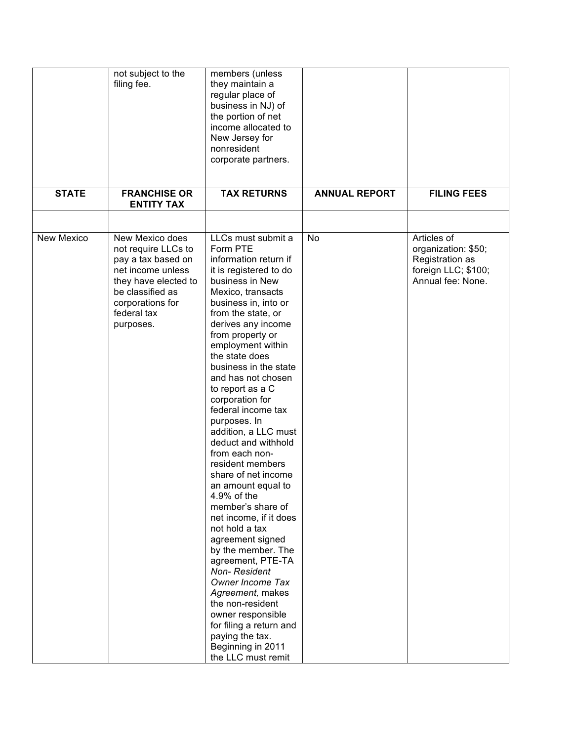|                   | not subject to the<br>filing fee.                                                                                                                                             | members (unless<br>they maintain a<br>regular place of<br>business in NJ) of<br>the portion of net<br>income allocated to<br>New Jersey for<br>nonresident<br>corporate partners.                                                                                                                                                                                                                                                                                                                                                                                                                                                                                                                                                                                                                                                                                      |                      |                                                                                                   |
|-------------------|-------------------------------------------------------------------------------------------------------------------------------------------------------------------------------|------------------------------------------------------------------------------------------------------------------------------------------------------------------------------------------------------------------------------------------------------------------------------------------------------------------------------------------------------------------------------------------------------------------------------------------------------------------------------------------------------------------------------------------------------------------------------------------------------------------------------------------------------------------------------------------------------------------------------------------------------------------------------------------------------------------------------------------------------------------------|----------------------|---------------------------------------------------------------------------------------------------|
| <b>STATE</b>      | <b>FRANCHISE OR</b><br><b>ENTITY TAX</b>                                                                                                                                      | <b>TAX RETURNS</b>                                                                                                                                                                                                                                                                                                                                                                                                                                                                                                                                                                                                                                                                                                                                                                                                                                                     | <b>ANNUAL REPORT</b> | <b>FILING FEES</b>                                                                                |
|                   |                                                                                                                                                                               |                                                                                                                                                                                                                                                                                                                                                                                                                                                                                                                                                                                                                                                                                                                                                                                                                                                                        |                      |                                                                                                   |
| <b>New Mexico</b> | New Mexico does<br>not require LLCs to<br>pay a tax based on<br>net income unless<br>they have elected to<br>be classified as<br>corporations for<br>federal tax<br>purposes. | LLCs must submit a<br>Form PTE<br>information return if<br>it is registered to do<br>business in New<br>Mexico, transacts<br>business in, into or<br>from the state, or<br>derives any income<br>from property or<br>employment within<br>the state does<br>business in the state<br>and has not chosen<br>to report as a C<br>corporation for<br>federal income tax<br>purposes. In<br>addition, a LLC must<br>deduct and withhold<br>from each non-<br>resident members<br>share of net income<br>an amount equal to<br>4.9% of the<br>member's share of<br>net income, if it does<br>not hold a tax<br>agreement signed<br>by the member. The<br>agreement, PTE-TA<br><b>Non-Resident</b><br>Owner Income Tax<br>Agreement, makes<br>the non-resident<br>owner responsible<br>for filing a return and<br>paying the tax.<br>Beginning in 2011<br>the LLC must remit | No                   | Articles of<br>organization: \$50;<br>Registration as<br>foreign LLC; \$100;<br>Annual fee: None. |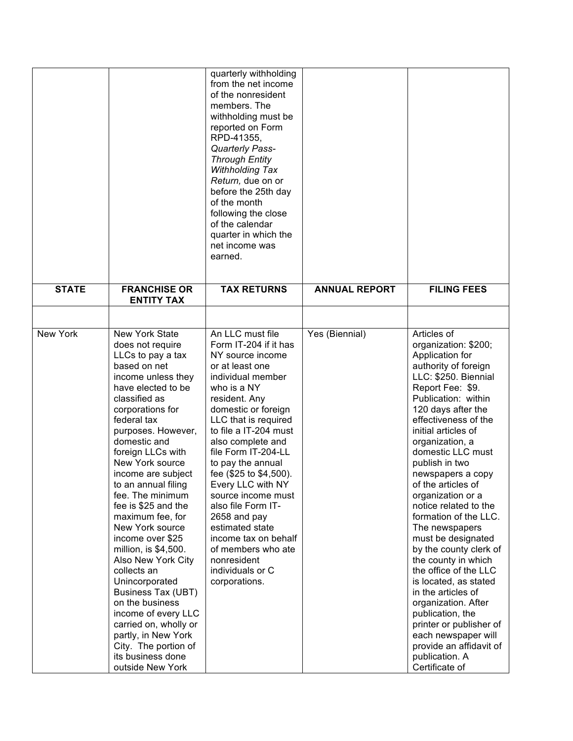|              |                                                                                                                                                                                                                                                                                                                                                                                                                                                                                                                                                                                                                                                                                        | quarterly withholding<br>from the net income<br>of the nonresident<br>members. The<br>withholding must be<br>reported on Form<br>RPD-41355,<br>Quarterly Pass-<br><b>Through Entity</b><br>Withholding Tax<br>Return, due on or<br>before the 25th day<br>of the month<br>following the close<br>of the calendar<br>quarter in which the<br>net income was<br>earned.                                                                                                                                          |                      |                                                                                                                                                                                                                                                                                                                                                                                                                                                                                                                                                                                                                                                                                                                                 |
|--------------|----------------------------------------------------------------------------------------------------------------------------------------------------------------------------------------------------------------------------------------------------------------------------------------------------------------------------------------------------------------------------------------------------------------------------------------------------------------------------------------------------------------------------------------------------------------------------------------------------------------------------------------------------------------------------------------|----------------------------------------------------------------------------------------------------------------------------------------------------------------------------------------------------------------------------------------------------------------------------------------------------------------------------------------------------------------------------------------------------------------------------------------------------------------------------------------------------------------|----------------------|---------------------------------------------------------------------------------------------------------------------------------------------------------------------------------------------------------------------------------------------------------------------------------------------------------------------------------------------------------------------------------------------------------------------------------------------------------------------------------------------------------------------------------------------------------------------------------------------------------------------------------------------------------------------------------------------------------------------------------|
| <b>STATE</b> | <b>FRANCHISE OR</b>                                                                                                                                                                                                                                                                                                                                                                                                                                                                                                                                                                                                                                                                    | <b>TAX RETURNS</b>                                                                                                                                                                                                                                                                                                                                                                                                                                                                                             | <b>ANNUAL REPORT</b> | <b>FILING FEES</b>                                                                                                                                                                                                                                                                                                                                                                                                                                                                                                                                                                                                                                                                                                              |
|              | <b>ENTITY TAX</b>                                                                                                                                                                                                                                                                                                                                                                                                                                                                                                                                                                                                                                                                      |                                                                                                                                                                                                                                                                                                                                                                                                                                                                                                                |                      |                                                                                                                                                                                                                                                                                                                                                                                                                                                                                                                                                                                                                                                                                                                                 |
| New York     | <b>New York State</b><br>does not require<br>LLCs to pay a tax<br>based on net<br>income unless they<br>have elected to be<br>classified as<br>corporations for<br>federal tax<br>purposes. However,<br>domestic and<br>foreign LLCs with<br>New York source<br>income are subject<br>to an annual filing<br>fee. The minimum<br>fee is \$25 and the<br>maximum fee, for<br>New York source<br>income over \$25<br>million, is \$4,500.<br>Also New York City<br>collects an<br>Unincorporated<br><b>Business Tax (UBT)</b><br>on the business<br>income of every LLC<br>carried on, wholly or<br>partly, in New York<br>City. The portion of<br>its business done<br>outside New York | An LLC must file<br>Form IT-204 if it has<br>NY source income<br>or at least one<br>individual member<br>who is a NY<br>resident. Any<br>domestic or foreign<br>LLC that is required<br>to file a IT-204 must<br>also complete and<br>file Form IT-204-LL<br>to pay the annual<br>fee (\$25 to \$4,500).<br>Every LLC with NY<br>source income must<br>also file Form IT-<br>2658 and pay<br>estimated state<br>income tax on behalf<br>of members who ate<br>nonresident<br>individuals or C<br>corporations. | Yes (Biennial)       | Articles of<br>organization: \$200;<br>Application for<br>authority of foreign<br>LLC: \$250. Biennial<br>Report Fee: \$9.<br>Publication: within<br>120 days after the<br>effectiveness of the<br>initial articles of<br>organization, a<br>domestic LLC must<br>publish in two<br>newspapers a copy<br>of the articles of<br>organization or a<br>notice related to the<br>formation of the LLC.<br>The newspapers<br>must be designated<br>by the county clerk of<br>the county in which<br>the office of the LLC<br>is located, as stated<br>in the articles of<br>organization. After<br>publication, the<br>printer or publisher of<br>each newspaper will<br>provide an affidavit of<br>publication. A<br>Certificate of |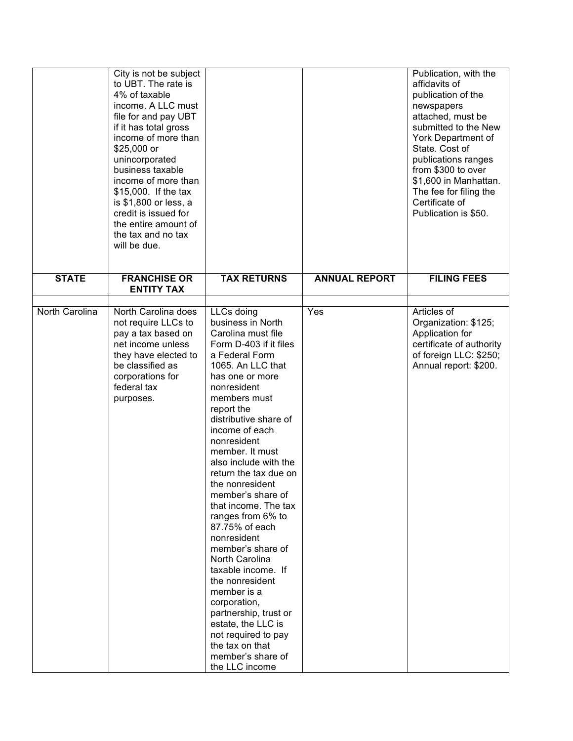|                | City is not be subject<br>to UBT. The rate is<br>4% of taxable<br>income. A LLC must<br>file for and pay UBT<br>if it has total gross<br>income of more than<br>\$25,000 or<br>unincorporated<br>business taxable<br>income of more than<br>\$15,000. If the tax<br>is \$1,800 or less, a<br>credit is issued for<br>the entire amount of<br>the tax and no tax<br>will be due. |                                                                                                                                                                                                                                                                                                                                                                                                                                                                                                                                                                                                                                                                                            |                      | Publication, with the<br>affidavits of<br>publication of the<br>newspapers<br>attached, must be<br>submitted to the New<br>York Department of<br>State. Cost of<br>publications ranges<br>from \$300 to over<br>\$1,600 in Manhattan.<br>The fee for filing the<br>Certificate of<br>Publication is \$50. |
|----------------|---------------------------------------------------------------------------------------------------------------------------------------------------------------------------------------------------------------------------------------------------------------------------------------------------------------------------------------------------------------------------------|--------------------------------------------------------------------------------------------------------------------------------------------------------------------------------------------------------------------------------------------------------------------------------------------------------------------------------------------------------------------------------------------------------------------------------------------------------------------------------------------------------------------------------------------------------------------------------------------------------------------------------------------------------------------------------------------|----------------------|-----------------------------------------------------------------------------------------------------------------------------------------------------------------------------------------------------------------------------------------------------------------------------------------------------------|
| <b>STATE</b>   | <b>FRANCHISE OR</b><br><b>ENTITY TAX</b>                                                                                                                                                                                                                                                                                                                                        | <b>TAX RETURNS</b>                                                                                                                                                                                                                                                                                                                                                                                                                                                                                                                                                                                                                                                                         | <b>ANNUAL REPORT</b> | <b>FILING FEES</b>                                                                                                                                                                                                                                                                                        |
| North Carolina | North Carolina does<br>not require LLCs to<br>pay a tax based on<br>net income unless<br>they have elected to<br>be classified as<br>corporations for<br>federal tax<br>purposes.                                                                                                                                                                                               | LLCs doing<br>business in North<br>Carolina must file<br>Form D-403 if it files<br>a Federal Form<br>1065. An LLC that<br>has one or more<br>nonresident<br>members must<br>report the<br>distributive share of<br>income of each<br>nonresident<br>member. It must<br>also include with the<br>return the tax due on<br>the nonresident<br>member's share of<br>that income. The tax<br>ranges from 6% to<br>87.75% of each<br>nonresident<br>member's share of<br>North Carolina<br>taxable income. If<br>the nonresident<br>member is a<br>corporation,<br>partnership, trust or<br>estate, the LLC is<br>not required to pay<br>the tax on that<br>member's share of<br>the LLC income | $\overline{Y}$ es    | Articles of<br>Organization: \$125;<br>Application for<br>certificate of authority<br>of foreign LLC: \$250;<br>Annual report: \$200.                                                                                                                                                                     |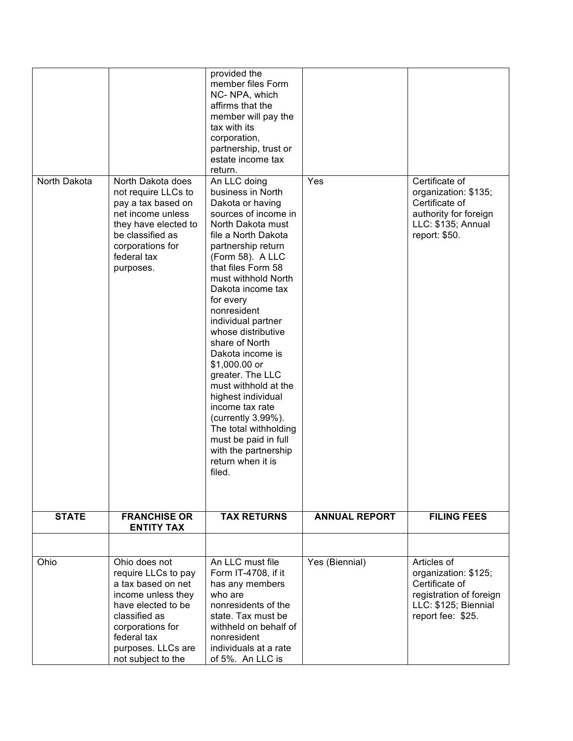|              |                                                                                                                                                                                                        | provided the<br>member files Form<br>NC-NPA, which<br>affirms that the<br>member will pay the<br>tax with its<br>corporation,<br>partnership, trust or<br>estate income tax<br>return.                                                                                                                                                                                                                                                                                                                                                                                                  |                      |                                                                                                                               |
|--------------|--------------------------------------------------------------------------------------------------------------------------------------------------------------------------------------------------------|-----------------------------------------------------------------------------------------------------------------------------------------------------------------------------------------------------------------------------------------------------------------------------------------------------------------------------------------------------------------------------------------------------------------------------------------------------------------------------------------------------------------------------------------------------------------------------------------|----------------------|-------------------------------------------------------------------------------------------------------------------------------|
| North Dakota | North Dakota does<br>not require LLCs to<br>pay a tax based on<br>net income unless<br>they have elected to<br>be classified as<br>corporations for<br>federal tax<br>purposes.                        | An LLC doing<br>business in North<br>Dakota or having<br>sources of income in<br>North Dakota must<br>file a North Dakota<br>partnership return<br>(Form 58). A LLC<br>that files Form 58<br>must withhold North<br>Dakota income tax<br>for every<br>nonresident<br>individual partner<br>whose distributive<br>share of North<br>Dakota income is<br>\$1,000.00 or<br>greater. The LLC<br>must withhold at the<br>highest individual<br>income tax rate<br>(currently 3.99%).<br>The total withholding<br>must be paid in full<br>with the partnership<br>return when it is<br>filed. | Yes                  | Certificate of<br>organization: \$135;<br>Certificate of<br>authority for foreign<br>LLC: \$135; Annual<br>report: \$50.      |
| <b>STATE</b> | <b>FRANCHISE OR</b><br><b>ENTITY TAX</b>                                                                                                                                                               | <b>TAX RETURNS</b>                                                                                                                                                                                                                                                                                                                                                                                                                                                                                                                                                                      | <b>ANNUAL REPORT</b> | <b>FILING FEES</b>                                                                                                            |
|              |                                                                                                                                                                                                        |                                                                                                                                                                                                                                                                                                                                                                                                                                                                                                                                                                                         |                      |                                                                                                                               |
| Ohio         | Ohio does not<br>require LLCs to pay<br>a tax based on net<br>income unless they<br>have elected to be<br>classified as<br>corporations for<br>federal tax<br>purposes. LLCs are<br>not subject to the | An LLC must file<br>Form IT-4708, if it<br>has any members<br>who are<br>nonresidents of the<br>state. Tax must be<br>withheld on behalf of<br>nonresident<br>individuals at a rate<br>of 5%. An LLC is                                                                                                                                                                                                                                                                                                                                                                                 | Yes (Biennial)       | Articles of<br>organization: \$125;<br>Certificate of<br>registration of foreign<br>LLC: \$125; Biennial<br>report fee: \$25. |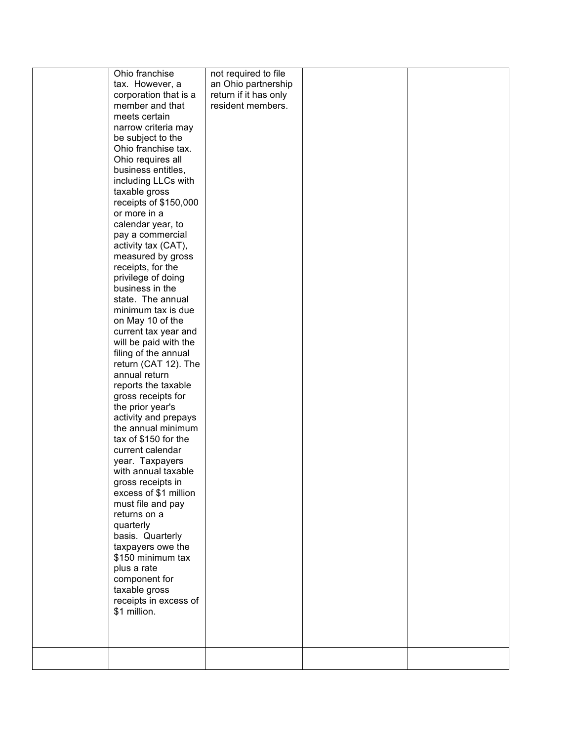| Ohio franchise        | not required to file  |  |
|-----------------------|-----------------------|--|
|                       |                       |  |
| tax. However, a       | an Ohio partnership   |  |
| corporation that is a | return if it has only |  |
| member and that       | resident members.     |  |
| meets certain         |                       |  |
| narrow criteria may   |                       |  |
| be subject to the     |                       |  |
| Ohio franchise tax.   |                       |  |
|                       |                       |  |
| Ohio requires all     |                       |  |
| business entitles,    |                       |  |
| including LLCs with   |                       |  |
| taxable gross         |                       |  |
| receipts of \$150,000 |                       |  |
| or more in a          |                       |  |
| calendar year, to     |                       |  |
| pay a commercial      |                       |  |
|                       |                       |  |
| activity tax (CAT),   |                       |  |
| measured by gross     |                       |  |
| receipts, for the     |                       |  |
| privilege of doing    |                       |  |
| business in the       |                       |  |
| state. The annual     |                       |  |
| minimum tax is due    |                       |  |
| on May 10 of the      |                       |  |
| current tax year and  |                       |  |
| will be paid with the |                       |  |
| filing of the annual  |                       |  |
|                       |                       |  |
| return (CAT 12). The  |                       |  |
| annual return         |                       |  |
| reports the taxable   |                       |  |
| gross receipts for    |                       |  |
| the prior year's      |                       |  |
| activity and prepays  |                       |  |
| the annual minimum    |                       |  |
| tax of \$150 for the  |                       |  |
| current calendar      |                       |  |
|                       |                       |  |
| year. Taxpayers       |                       |  |
| with annual taxable   |                       |  |
| gross receipts in     |                       |  |
| excess of \$1 million |                       |  |
| must file and pay     |                       |  |
| returns on a          |                       |  |
| quarterly             |                       |  |
| basis. Quarterly      |                       |  |
| taxpayers owe the     |                       |  |
| \$150 minimum tax     |                       |  |
|                       |                       |  |
| plus a rate           |                       |  |
| component for         |                       |  |
| taxable gross         |                       |  |
| receipts in excess of |                       |  |
| \$1 million.          |                       |  |
|                       |                       |  |
|                       |                       |  |
|                       |                       |  |
|                       |                       |  |
|                       |                       |  |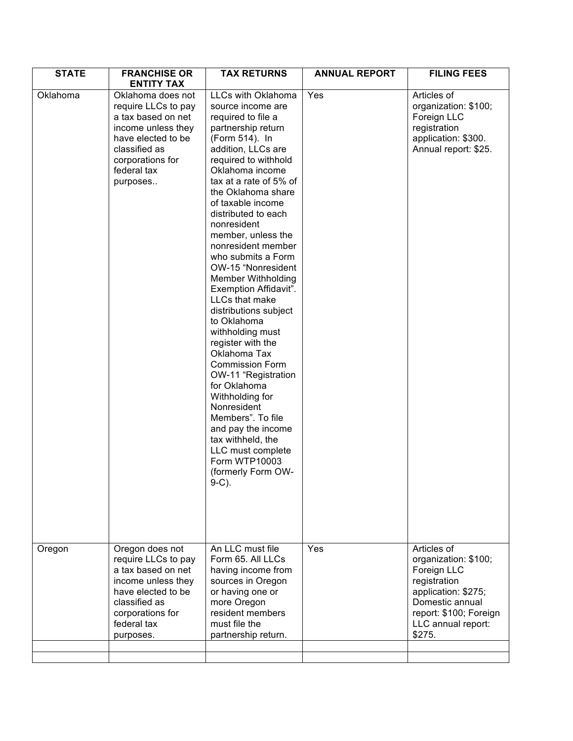| <b>STATE</b>       | <b>FRANCHISE OR</b><br><b>ENTITY TAX</b>                                                                                                                                                      | <b>TAX RETURNS</b>                                                                                                                                                                                                                                                                                                                                                                                                                                                                                                                                                                                                                                                                                                                                                                                                | <b>ANNUAL REPORT</b> | <b>FILING FEES</b>                                                                                                                                      |
|--------------------|-----------------------------------------------------------------------------------------------------------------------------------------------------------------------------------------------|-------------------------------------------------------------------------------------------------------------------------------------------------------------------------------------------------------------------------------------------------------------------------------------------------------------------------------------------------------------------------------------------------------------------------------------------------------------------------------------------------------------------------------------------------------------------------------------------------------------------------------------------------------------------------------------------------------------------------------------------------------------------------------------------------------------------|----------------------|---------------------------------------------------------------------------------------------------------------------------------------------------------|
| Oklahoma<br>Oregon | Oklahoma does not<br>require LLCs to pay<br>a tax based on net<br>income unless they<br>have elected to be<br>classified as<br>corporations for<br>federal tax<br>purposes<br>Oregon does not | LLCs with Oklahoma<br>source income are<br>required to file a<br>partnership return<br>(Form 514). In<br>addition, LLCs are<br>required to withhold<br>Oklahoma income<br>tax at a rate of 5% of<br>the Oklahoma share<br>of taxable income<br>distributed to each<br>nonresident<br>member, unless the<br>nonresident member<br>who submits a Form<br>OW-15 "Nonresident<br><b>Member Withholding</b><br>Exemption Affidavit".<br>LLCs that make<br>distributions subject<br>to Oklahoma<br>withholding must<br>register with the<br>Oklahoma Tax<br><b>Commission Form</b><br>OW-11 "Registration<br>for Oklahoma<br>Withholding for<br>Nonresident<br>Members". To file<br>and pay the income<br>tax withheld, the<br>LLC must complete<br>Form WTP10003<br>(formerly Form OW-<br>$9-C$ ).<br>An LLC must file | Yes<br>Yes           | Articles of<br>organization: \$100;<br>Foreign LLC<br>registration<br>application: \$300.<br>Annual report: \$25.<br>Articles of                        |
|                    | require LLCs to pay<br>a tax based on net<br>income unless they<br>have elected to be<br>classified as<br>corporations for<br>federal tax<br>purposes.                                        | Form 65. All LLCs<br>having income from<br>sources in Oregon<br>or having one or<br>more Oregon<br>resident members<br>must file the<br>partnership return.                                                                                                                                                                                                                                                                                                                                                                                                                                                                                                                                                                                                                                                       |                      | organization: \$100;<br>Foreign LLC<br>registration<br>application: \$275;<br>Domestic annual<br>report: \$100; Foreign<br>LLC annual report:<br>\$275. |
|                    |                                                                                                                                                                                               |                                                                                                                                                                                                                                                                                                                                                                                                                                                                                                                                                                                                                                                                                                                                                                                                                   |                      |                                                                                                                                                         |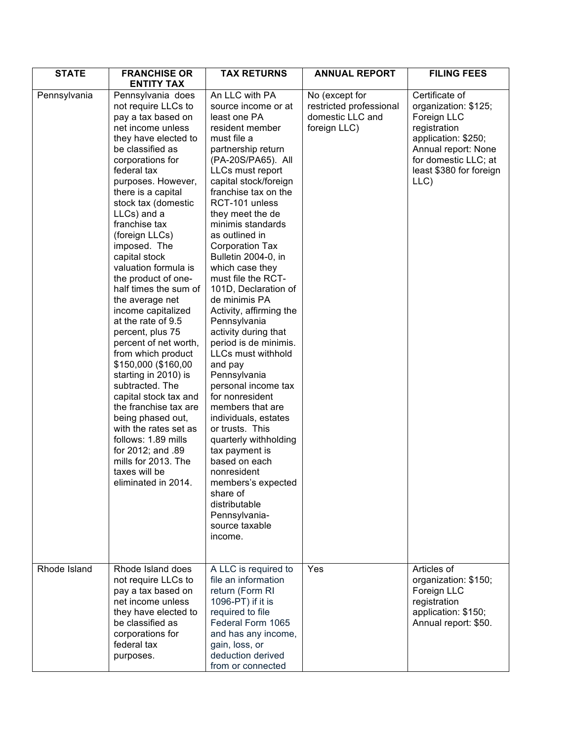| <b>STATE</b> | <b>FRANCHISE OR</b><br><b>ENTITY TAX</b>                                                                                                                                                                                                                                                                                                                                                                                                                                                                                                                                                                                                                                                                                                                                                                        | <b>TAX RETURNS</b>                                                                                                                                                                                                                                                                                                                                                                                                                                                                                                                                                                                                                                                                                                                                                                                                                                         | <b>ANNUAL REPORT</b>                                                          | <b>FILING FEES</b>                                                                                                                                                             |
|--------------|-----------------------------------------------------------------------------------------------------------------------------------------------------------------------------------------------------------------------------------------------------------------------------------------------------------------------------------------------------------------------------------------------------------------------------------------------------------------------------------------------------------------------------------------------------------------------------------------------------------------------------------------------------------------------------------------------------------------------------------------------------------------------------------------------------------------|------------------------------------------------------------------------------------------------------------------------------------------------------------------------------------------------------------------------------------------------------------------------------------------------------------------------------------------------------------------------------------------------------------------------------------------------------------------------------------------------------------------------------------------------------------------------------------------------------------------------------------------------------------------------------------------------------------------------------------------------------------------------------------------------------------------------------------------------------------|-------------------------------------------------------------------------------|--------------------------------------------------------------------------------------------------------------------------------------------------------------------------------|
| Pennsylvania | Pennsylvania does<br>not require LLCs to<br>pay a tax based on<br>net income unless<br>they have elected to<br>be classified as<br>corporations for<br>federal tax<br>purposes. However,<br>there is a capital<br>stock tax (domestic<br>LLCs) and a<br>franchise tax<br>(foreign LLCs)<br>imposed. The<br>capital stock<br>valuation formula is<br>the product of one-<br>half times the sum of<br>the average net<br>income capitalized<br>at the rate of 9.5<br>percent, plus 75<br>percent of net worth,<br>from which product<br>\$150,000 (\$160,00<br>starting in 2010) is<br>subtracted. The<br>capital stock tax and<br>the franchise tax are<br>being phased out,<br>with the rates set as<br>follows: 1.89 mills<br>for 2012; and .89<br>mills for 2013. The<br>taxes will be<br>eliminated in 2014. | An LLC with PA<br>source income or at<br>least one PA<br>resident member<br>must file a<br>partnership return<br>(PA-20S/PA65). All<br>LLCs must report<br>capital stock/foreign<br>franchise tax on the<br>RCT-101 unless<br>they meet the de<br>minimis standards<br>as outlined in<br><b>Corporation Tax</b><br>Bulletin 2004-0, in<br>which case they<br>must file the RCT-<br>101D, Declaration of<br>de minimis PA<br>Activity, affirming the<br>Pennsylvania<br>activity during that<br>period is de minimis.<br>LLCs must withhold<br>and pay<br>Pennsylvania<br>personal income tax<br>for nonresident<br>members that are<br>individuals, estates<br>or trusts. This<br>quarterly withholding<br>tax payment is<br>based on each<br>nonresident<br>members's expected<br>share of<br>distributable<br>Pennsylvania-<br>source taxable<br>income. | No (except for<br>restricted professional<br>domestic LLC and<br>foreign LLC) | Certificate of<br>organization: \$125;<br>Foreign LLC<br>registration<br>application: \$250;<br>Annual report: None<br>for domestic LLC; at<br>least \$380 for foreign<br>LLC) |
| Rhode Island | Rhode Island does<br>not require LLCs to<br>pay a tax based on<br>net income unless<br>they have elected to<br>be classified as<br>corporations for<br>federal tax<br>purposes.                                                                                                                                                                                                                                                                                                                                                                                                                                                                                                                                                                                                                                 | A LLC is required to<br>file an information<br>return (Form RI<br>1096-PT) if it is<br>required to file<br>Federal Form 1065<br>and has any income,<br>gain, loss, or<br>deduction derived<br>from or connected                                                                                                                                                                                                                                                                                                                                                                                                                                                                                                                                                                                                                                            | Yes                                                                           | Articles of<br>organization: \$150;<br>Foreign LLC<br>registration<br>application: \$150;<br>Annual report: \$50.                                                              |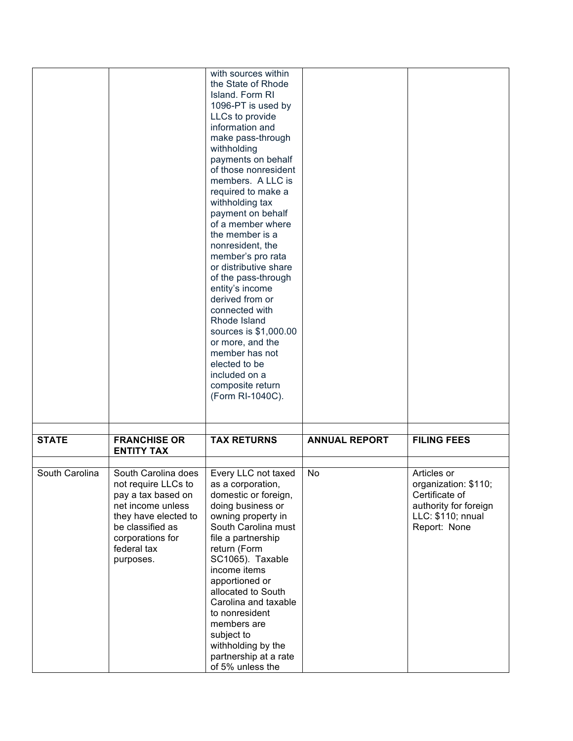|                |                                                                                                                                                                                   | with sources within<br>the State of Rhode<br>Island, Form RI<br>1096-PT is used by<br>LLCs to provide<br>information and<br>make pass-through<br>withholding<br>payments on behalf<br>of those nonresident<br>members. A LLC is<br>required to make a<br>withholding tax<br>payment on behalf<br>of a member where<br>the member is a<br>nonresident, the<br>member's pro rata<br>or distributive share<br>of the pass-through<br>entity's income<br>derived from or<br>connected with<br>Rhode Island<br>sources is \$1,000.00<br>or more, and the<br>member has not<br>elected to be<br>included on a<br>composite return<br>(Form RI-1040C). |                      |                                                                                                                     |
|----------------|-----------------------------------------------------------------------------------------------------------------------------------------------------------------------------------|-------------------------------------------------------------------------------------------------------------------------------------------------------------------------------------------------------------------------------------------------------------------------------------------------------------------------------------------------------------------------------------------------------------------------------------------------------------------------------------------------------------------------------------------------------------------------------------------------------------------------------------------------|----------------------|---------------------------------------------------------------------------------------------------------------------|
| <b>STATE</b>   | <b>FRANCHISE OR</b><br><b>ENTITY TAX</b>                                                                                                                                          | <b>TAX RETURNS</b>                                                                                                                                                                                                                                                                                                                                                                                                                                                                                                                                                                                                                              | <b>ANNUAL REPORT</b> | <b>FILING FEES</b>                                                                                                  |
|                |                                                                                                                                                                                   |                                                                                                                                                                                                                                                                                                                                                                                                                                                                                                                                                                                                                                                 |                      |                                                                                                                     |
| South Carolina | South Carolina does<br>not require LLCs to<br>pay a tax based on<br>net income unless<br>they have elected to<br>be classified as<br>corporations for<br>federal tax<br>purposes. | Every LLC not taxed<br>as a corporation,<br>domestic or foreign,<br>doing business or<br>owning property in<br>South Carolina must<br>file a partnership<br>return (Form<br>SC1065). Taxable<br>income items<br>apportioned or<br>allocated to South<br>Carolina and taxable<br>to nonresident<br>members are<br>subject to<br>withholding by the<br>partnership at a rate<br>of 5% unless the                                                                                                                                                                                                                                                  | No                   | Articles or<br>organization: \$110;<br>Certificate of<br>authority for foreign<br>LLC: \$110; nnual<br>Report: None |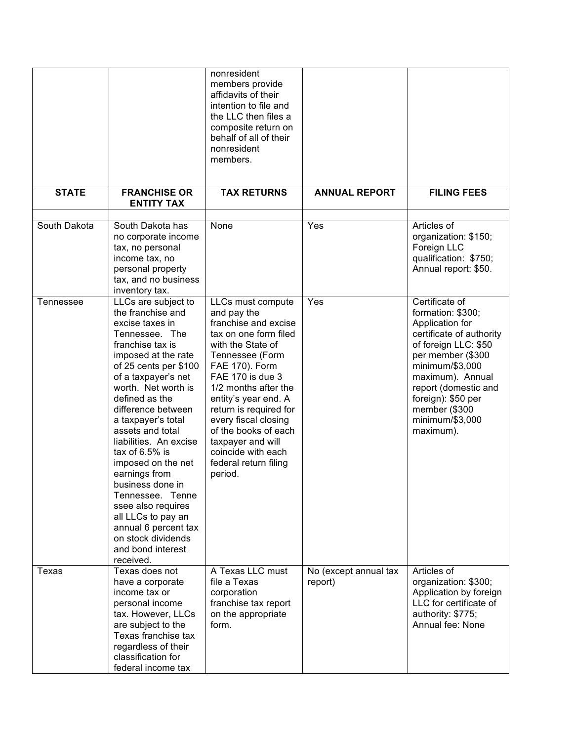|              |                                                                                                                                                                                                                                                                                                                                                                                                                                                                                                                                          | nonresident<br>members provide<br>affidavits of their<br>intention to file and<br>the LLC then files a<br>composite return on<br>behalf of all of their<br>nonresident<br>members.                                                                                                                                                                                       |                                  |                                                                                                                                                                                                                                                                       |
|--------------|------------------------------------------------------------------------------------------------------------------------------------------------------------------------------------------------------------------------------------------------------------------------------------------------------------------------------------------------------------------------------------------------------------------------------------------------------------------------------------------------------------------------------------------|--------------------------------------------------------------------------------------------------------------------------------------------------------------------------------------------------------------------------------------------------------------------------------------------------------------------------------------------------------------------------|----------------------------------|-----------------------------------------------------------------------------------------------------------------------------------------------------------------------------------------------------------------------------------------------------------------------|
| <b>STATE</b> | <b>FRANCHISE OR</b><br><b>ENTITY TAX</b>                                                                                                                                                                                                                                                                                                                                                                                                                                                                                                 | <b>TAX RETURNS</b>                                                                                                                                                                                                                                                                                                                                                       | <b>ANNUAL REPORT</b>             | <b>FILING FEES</b>                                                                                                                                                                                                                                                    |
| South Dakota | South Dakota has<br>no corporate income<br>tax, no personal<br>income tax, no<br>personal property<br>tax, and no business<br>inventory tax.                                                                                                                                                                                                                                                                                                                                                                                             | None                                                                                                                                                                                                                                                                                                                                                                     | Yes                              | Articles of<br>organization: \$150;<br>Foreign LLC<br>qualification: \$750;<br>Annual report: \$50.                                                                                                                                                                   |
| Tennessee    | LLCs are subject to<br>the franchise and<br>excise taxes in<br>Tennessee. The<br>franchise tax is<br>imposed at the rate<br>of 25 cents per \$100<br>of a taxpayer's net<br>worth. Net worth is<br>defined as the<br>difference between<br>a taxpayer's total<br>assets and total<br>liabilities. An excise<br>tax of 6.5% is<br>imposed on the net<br>earnings from<br>business done in<br>Tennessee. Tenne<br>ssee also requires<br>all LLCs to pay an<br>annual 6 percent tax<br>on stock dividends<br>and bond interest<br>received. | LLCs must compute<br>and pay the<br>franchise and excise<br>tax on one form filed<br>with the State of<br>Tennessee (Form<br>FAE 170). Form<br>FAE 170 is due 3<br>1/2 months after the<br>entity's year end. A<br>return is required for<br>every fiscal closing<br>of the books of each<br>taxpayer and will<br>coincide with each<br>federal return filing<br>period. | Yes                              | Certificate of<br>formation: \$300;<br>Application for<br>certificate of authority<br>of foreign LLC: \$50<br>per member (\$300<br>minimum/\$3,000<br>maximum). Annual<br>report (domestic and<br>foreign): \$50 per<br>member (\$300<br>minimum/\$3,000<br>maximum). |
| Texas        | Texas does not<br>have a corporate<br>income tax or<br>personal income<br>tax. However, LLCs<br>are subject to the<br>Texas franchise tax<br>regardless of their<br>classification for<br>federal income tax                                                                                                                                                                                                                                                                                                                             | A Texas LLC must<br>file a Texas<br>corporation<br>franchise tax report<br>on the appropriate<br>form.                                                                                                                                                                                                                                                                   | No (except annual tax<br>report) | Articles of<br>organization: \$300;<br>Application by foreign<br>LLC for certificate of<br>authority: \$775;<br>Annual fee: None                                                                                                                                      |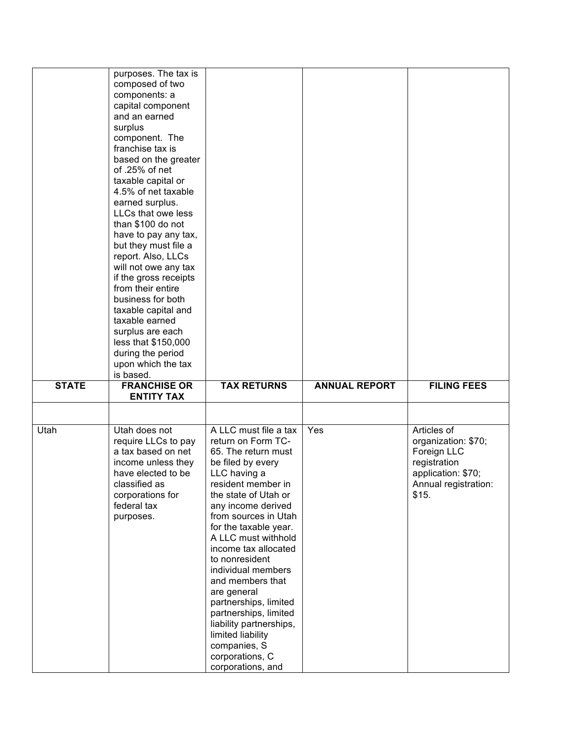|              | purposes. The tax is<br>composed of two<br>components: a<br>capital component<br>and an earned<br>surplus<br>component. The<br>franchise tax is<br>based on the greater<br>of .25% of net<br>taxable capital or<br>4.5% of net taxable<br>earned surplus.<br>LLCs that owe less<br>than \$100 do not<br>have to pay any tax,<br>but they must file a<br>report. Also, LLCs<br>will not owe any tax<br>if the gross receipts<br>from their entire<br>business for both<br>taxable capital and<br>taxable earned<br>surplus are each<br>less that \$150,000<br>during the period<br>upon which the tax |                                                                                                                                                                                                                                                                                                                                                                                                                                                                          |                      |                                                                                                                          |
|--------------|------------------------------------------------------------------------------------------------------------------------------------------------------------------------------------------------------------------------------------------------------------------------------------------------------------------------------------------------------------------------------------------------------------------------------------------------------------------------------------------------------------------------------------------------------------------------------------------------------|--------------------------------------------------------------------------------------------------------------------------------------------------------------------------------------------------------------------------------------------------------------------------------------------------------------------------------------------------------------------------------------------------------------------------------------------------------------------------|----------------------|--------------------------------------------------------------------------------------------------------------------------|
| <b>STATE</b> | is based.<br><b>FRANCHISE OR</b>                                                                                                                                                                                                                                                                                                                                                                                                                                                                                                                                                                     | <b>TAX RETURNS</b>                                                                                                                                                                                                                                                                                                                                                                                                                                                       | <b>ANNUAL REPORT</b> | <b>FILING FEES</b>                                                                                                       |
|              | <b>ENTITY TAX</b>                                                                                                                                                                                                                                                                                                                                                                                                                                                                                                                                                                                    |                                                                                                                                                                                                                                                                                                                                                                                                                                                                          |                      |                                                                                                                          |
|              |                                                                                                                                                                                                                                                                                                                                                                                                                                                                                                                                                                                                      |                                                                                                                                                                                                                                                                                                                                                                                                                                                                          |                      |                                                                                                                          |
| Utah         | Utah does not<br>require LLCs to pay<br>a tax based on net<br>income unless they<br>have elected to be<br>classified as<br>corporations for<br>federal tax<br>purposes.                                                                                                                                                                                                                                                                                                                                                                                                                              | A LLC must file a tax<br>return on Form TC-<br>65. The return must<br>be filed by every<br>LLC having a<br>resident member in<br>the state of Utah or<br>any income derived<br>from sources in Utah<br>for the taxable year.<br>A LLC must withhold<br>income tax allocated<br>to nonresident<br>individual members<br>and members that<br>are general<br>partnerships, limited<br>partnerships, limited<br>liability partnerships,<br>limited liability<br>companies, S | Yes                  | Articles of<br>organization: \$70;<br>Foreign LLC<br>registration<br>application: \$70;<br>Annual registration:<br>\$15. |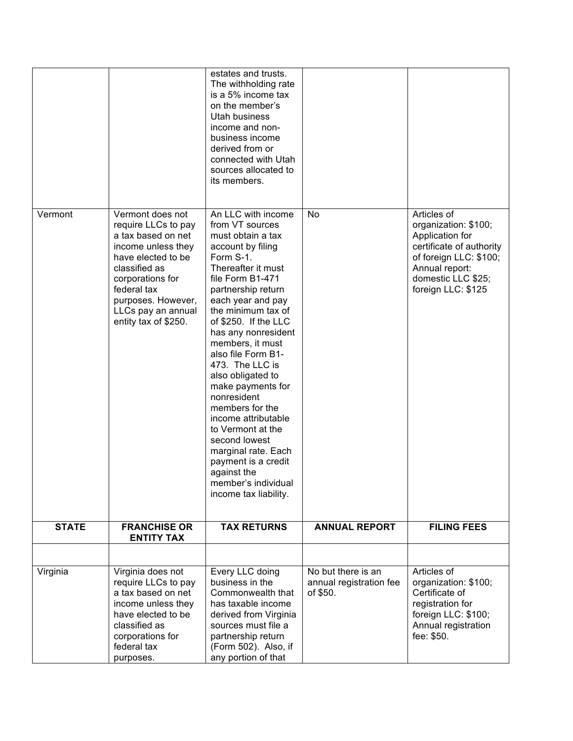|              |                                                                                                                                                                                                                                   | estates and trusts.<br>The withholding rate<br>is a 5% income tax<br>on the member's<br>Utah business<br>income and non-<br>business income<br>derived from or<br>connected with Utah<br>sources allocated to<br>its members.                                                                                                                                                                                                                                                                                                                                             |                                                           |                                                                                                                                                                            |
|--------------|-----------------------------------------------------------------------------------------------------------------------------------------------------------------------------------------------------------------------------------|---------------------------------------------------------------------------------------------------------------------------------------------------------------------------------------------------------------------------------------------------------------------------------------------------------------------------------------------------------------------------------------------------------------------------------------------------------------------------------------------------------------------------------------------------------------------------|-----------------------------------------------------------|----------------------------------------------------------------------------------------------------------------------------------------------------------------------------|
| Vermont      | Vermont does not<br>require LLCs to pay<br>a tax based on net<br>income unless they<br>have elected to be<br>classified as<br>corporations for<br>federal tax<br>purposes. However,<br>LLCs pay an annual<br>entity tax of \$250. | An LLC with income<br>from VT sources<br>must obtain a tax<br>account by filing<br>Form S-1.<br>Thereafter it must<br>file Form B1-471<br>partnership return<br>each year and pay<br>the minimum tax of<br>of \$250. If the LLC<br>has any nonresident<br>members, it must<br>also file Form B1-<br>473. The LLC is<br>also obligated to<br>make payments for<br>nonresident<br>members for the<br>income attributable<br>to Vermont at the<br>second lowest<br>marginal rate. Each<br>payment is a credit<br>against the<br>member's individual<br>income tax liability. | No                                                        | Articles of<br>organization: \$100;<br>Application for<br>certificate of authority<br>of foreign LLC: \$100;<br>Annual report:<br>domestic LLC \$25;<br>foreign LLC: \$125 |
| <b>STATE</b> | <b>FRANCHISE OR</b><br><b>ENTITY TAX</b>                                                                                                                                                                                          | <b>TAX RETURNS</b>                                                                                                                                                                                                                                                                                                                                                                                                                                                                                                                                                        | <b>ANNUAL REPORT</b>                                      | <b>FILING FEES</b>                                                                                                                                                         |
|              |                                                                                                                                                                                                                                   |                                                                                                                                                                                                                                                                                                                                                                                                                                                                                                                                                                           |                                                           |                                                                                                                                                                            |
| Virginia     | Virginia does not<br>require LLCs to pay<br>a tax based on net<br>income unless they<br>have elected to be<br>classified as<br>corporations for<br>federal tax<br>purposes.                                                       | Every LLC doing<br>business in the<br>Commonwealth that<br>has taxable income<br>derived from Virginia<br>sources must file a<br>partnership return<br>(Form 502). Also, if<br>any portion of that                                                                                                                                                                                                                                                                                                                                                                        | No but there is an<br>annual registration fee<br>of \$50. | Articles of<br>organization: \$100;<br>Certificate of<br>registration for<br>foreign LLC: \$100;<br>Annual registration<br>fee: \$50.                                      |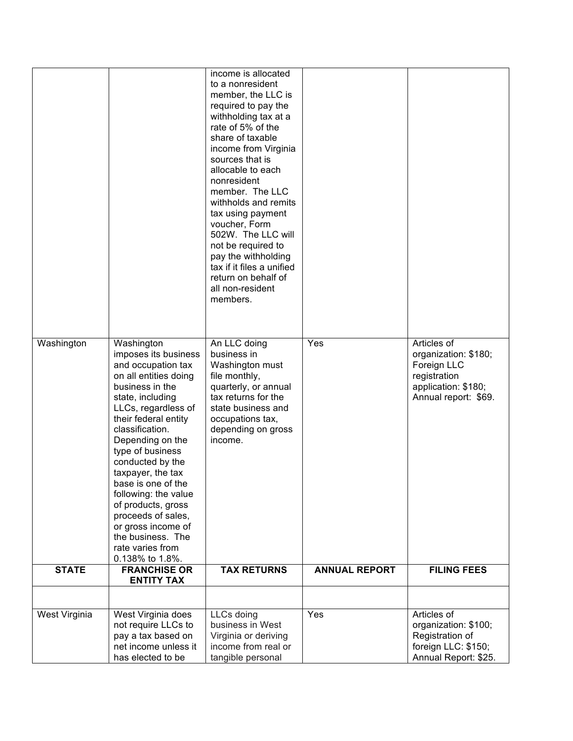|               |                                                                                                                                                                                                                                                                                                                                                                                                                                                         | income is allocated<br>to a nonresident<br>member, the LLC is<br>required to pay the<br>withholding tax at a<br>rate of 5% of the<br>share of taxable<br>income from Virginia<br>sources that is<br>allocable to each<br>nonresident<br>member. The LLC<br>withholds and remits<br>tax using payment<br>voucher, Form<br>502W. The LLC will<br>not be required to<br>pay the withholding<br>tax if it files a unified<br>return on behalf of<br>all non-resident<br>members. |                      |                                                                                                                   |
|---------------|---------------------------------------------------------------------------------------------------------------------------------------------------------------------------------------------------------------------------------------------------------------------------------------------------------------------------------------------------------------------------------------------------------------------------------------------------------|------------------------------------------------------------------------------------------------------------------------------------------------------------------------------------------------------------------------------------------------------------------------------------------------------------------------------------------------------------------------------------------------------------------------------------------------------------------------------|----------------------|-------------------------------------------------------------------------------------------------------------------|
| Washington    | Washington<br>imposes its business<br>and occupation tax<br>on all entities doing<br>business in the<br>state, including<br>LLCs, regardless of<br>their federal entity<br>classification.<br>Depending on the<br>type of business<br>conducted by the<br>taxpayer, the tax<br>base is one of the<br>following: the value<br>of products, gross<br>proceeds of sales,<br>or gross income of<br>the business. The<br>rate varies from<br>0.138% to 1.8%. | An LLC doing<br>business in<br>Washington must<br>file monthly,<br>quarterly, or annual<br>tax returns for the<br>state business and<br>occupations tax,<br>depending on gross<br>income.                                                                                                                                                                                                                                                                                    | Yes                  | Articles of<br>organization: \$180;<br>Foreign LLC<br>registration<br>application: \$180;<br>Annual report: \$69. |
| <b>STATE</b>  | <b>FRANCHISE OR</b><br><b>ENTITY TAX</b>                                                                                                                                                                                                                                                                                                                                                                                                                | <b>TAX RETURNS</b>                                                                                                                                                                                                                                                                                                                                                                                                                                                           | <b>ANNUAL REPORT</b> | <b>FILING FEES</b>                                                                                                |
|               |                                                                                                                                                                                                                                                                                                                                                                                                                                                         |                                                                                                                                                                                                                                                                                                                                                                                                                                                                              |                      |                                                                                                                   |
| West Virginia | West Virginia does<br>not require LLCs to<br>pay a tax based on<br>net income unless it<br>has elected to be                                                                                                                                                                                                                                                                                                                                            | LLCs doing<br>business in West<br>Virginia or deriving<br>income from real or<br>tangible personal                                                                                                                                                                                                                                                                                                                                                                           | Yes                  | Articles of<br>organization: \$100;<br>Registration of<br>foreign LLC: \$150;<br>Annual Report: \$25.             |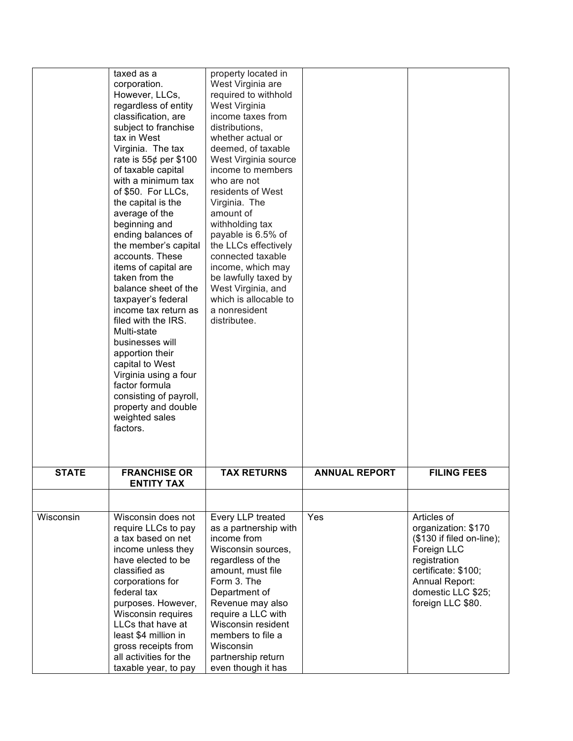|              | taxed as a                         | property located in   |                      |                           |
|--------------|------------------------------------|-----------------------|----------------------|---------------------------|
|              | corporation.                       | West Virginia are     |                      |                           |
|              | However, LLCs,                     | required to withhold  |                      |                           |
|              | regardless of entity               | West Virginia         |                      |                           |
|              | classification, are                | income taxes from     |                      |                           |
|              | subject to franchise               | distributions,        |                      |                           |
|              | tax in West                        | whether actual or     |                      |                           |
|              | Virginia. The tax                  | deemed, of taxable    |                      |                           |
|              | rate is $55¢$ per \$100            | West Virginia source  |                      |                           |
|              | of taxable capital                 | income to members     |                      |                           |
|              | with a minimum tax                 | who are not           |                      |                           |
|              | of \$50. For LLCs,                 | residents of West     |                      |                           |
|              | the capital is the                 | Virginia. The         |                      |                           |
|              | average of the                     | amount of             |                      |                           |
|              | beginning and                      | withholding tax       |                      |                           |
|              | ending balances of                 | payable is 6.5% of    |                      |                           |
|              | the member's capital               | the LLCs effectively  |                      |                           |
|              | accounts. These                    | connected taxable     |                      |                           |
|              | items of capital are               | income, which may     |                      |                           |
|              | taken from the                     | be lawfully taxed by  |                      |                           |
|              | balance sheet of the               | West Virginia, and    |                      |                           |
|              | taxpayer's federal                 | which is allocable to |                      |                           |
|              | income tax return as               | a nonresident         |                      |                           |
|              | filed with the IRS.                | distributee.          |                      |                           |
|              | Multi-state                        |                       |                      |                           |
|              | businesses will                    |                       |                      |                           |
|              | apportion their<br>capital to West |                       |                      |                           |
|              | Virginia using a four              |                       |                      |                           |
|              | factor formula                     |                       |                      |                           |
|              | consisting of payroll,             |                       |                      |                           |
|              | property and double                |                       |                      |                           |
|              | weighted sales                     |                       |                      |                           |
|              | factors.                           |                       |                      |                           |
|              |                                    |                       |                      |                           |
|              |                                    |                       |                      |                           |
| <b>STATE</b> | <b>FRANCHISE OR</b>                | <b>TAX RETURNS</b>    | <b>ANNUAL REPORT</b> | <b>FILING FEES</b>        |
|              | <b>ENTITY TAX</b>                  |                       |                      |                           |
|              |                                    |                       |                      |                           |
| Wisconsin    | Wisconsin does not                 | Every LLP treated     | Yes                  | Articles of               |
|              | require LLCs to pay                | as a partnership with |                      | organization: \$170       |
|              | a tax based on net                 | income from           |                      | (\$130 if filed on-line); |
|              | income unless they                 | Wisconsin sources,    |                      | Foreign LLC               |
|              | have elected to be                 | regardless of the     |                      | registration              |
|              | classified as                      | amount, must file     |                      | certificate: \$100;       |
|              | corporations for                   | Form 3. The           |                      | Annual Report:            |
|              | federal tax                        | Department of         |                      | domestic LLC \$25;        |
|              | purposes. However,                 | Revenue may also      |                      | foreign LLC \$80.         |
|              | Wisconsin requires                 | require a LLC with    |                      |                           |
|              | LLCs that have at                  | Wisconsin resident    |                      |                           |
|              | least \$4 million in               | members to file a     |                      |                           |
|              | gross receipts from                | Wisconsin             |                      |                           |
|              | all activities for the             | partnership return    |                      |                           |
|              | taxable year, to pay               | even though it has    |                      |                           |